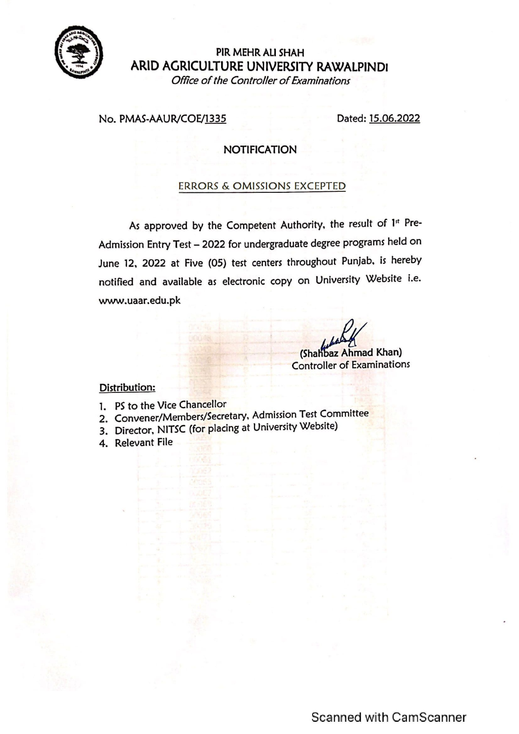

## PIR MEHR ALI SHAH ARID AGRICULTURE UNIVERSITY RAWALPINDI Office of the Controller of Examinations

#### No. PMAS-AAUR/COE/1335

Dated: 15.06.2022

## **NOTIFICATION**

#### **ERRORS & OMISSIONS EXCEPTED**

As approved by the Competent Authority, the result of 1st Pre-Admission Entry Test - 2022 for undergraduate degree programs held on June 12, 2022 at Five (05) test centers throughout Punjab, is hereby notified and available as electronic copy on University Website i.e. www.uaar.edu.pk

(Shahbaz Ahmad Khan) **Controller of Examinations** 

### Distribution:

- 1. PS to the Vice Chancellor
- 2. Convener/Members/Secretary, Admission Test Committee
- 3. Director, NITSC (for placing at University Website)
- 4. Relevant File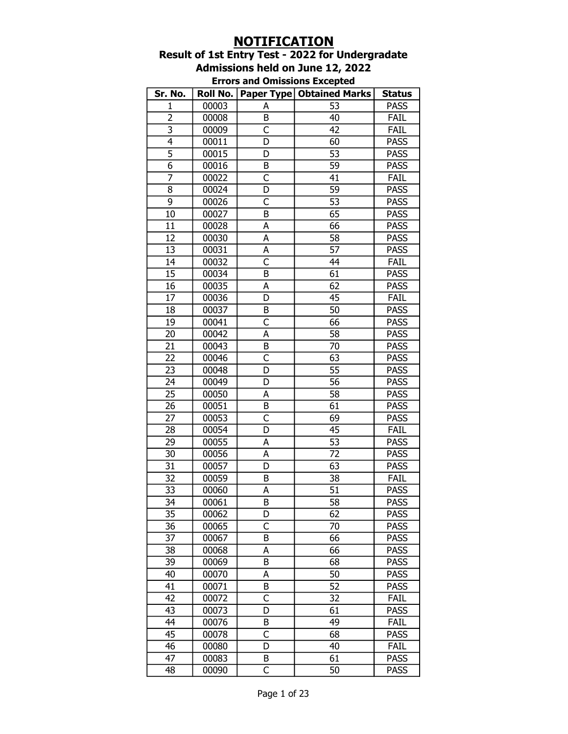# NOTIFICATION

## Result of 1st Entry Test - 2022 for Undergradate Admissions held on June 12, 2022

| <b>Errors and Omissions Excepted</b> |  |  |
|--------------------------------------|--|--|
|--------------------------------------|--|--|

| Sr. No.                 | Roll No. |                         | <b>Paper Type   Obtained Marks</b> | <b>Status</b> |
|-------------------------|----------|-------------------------|------------------------------------|---------------|
| $\mathbf{1}$            | 00003    | А                       | 53                                 | <b>PASS</b>   |
| 2                       | 00008    | B                       | 40                                 | <b>FAIL</b>   |
| $\overline{\mathbf{3}}$ | 00009    | C                       | 42                                 | FAIL          |
| $\overline{4}$          | 00011    | D                       | 60                                 | <b>PASS</b>   |
| $\overline{5}$          | 00015    | D                       | $\overline{53}$                    | <b>PASS</b>   |
| $\overline{6}$          | 00016    | B                       | 59                                 | <b>PASS</b>   |
| $\overline{7}$          | 00022    | C                       | 41                                 | FAIL          |
| 8                       | 00024    | D                       | 59                                 | <b>PASS</b>   |
| 9                       | 00026    | C                       | 53                                 | <b>PASS</b>   |
| 10                      | 00027    | $\overline{B}$          | 65                                 | <b>PASS</b>   |
| 11                      | 00028    | A                       | 66                                 | <b>PASS</b>   |
| 12                      | 00030    | A                       | 58                                 | <b>PASS</b>   |
| 13                      | 00031    | А                       | 57                                 | <b>PASS</b>   |
| 14                      | 00032    | C                       | 44                                 | FAIL          |
| 15                      | 00034    | B                       | 61                                 | <b>PASS</b>   |
| 16                      | 00035    | А                       | 62                                 | <b>PASS</b>   |
| 17                      | 00036    | D                       | $\overline{45}$                    | <b>FAIL</b>   |
| 18                      | 00037    | B                       | 50                                 | <b>PASS</b>   |
| 19                      | 00041    | $\overline{\mathsf{c}}$ | 66                                 | <b>PASS</b>   |
| 20                      | 00042    | А                       | 58                                 | <b>PASS</b>   |
| 21                      | 00043    | B                       | 70                                 | <b>PASS</b>   |
| 22                      | 00046    | C                       | 63                                 | <b>PASS</b>   |
| 23                      | 00048    | D                       | 55                                 | <b>PASS</b>   |
| 24                      | 00049    | D                       | $\overline{56}$                    | <b>PASS</b>   |
| 25                      | 00050    | A                       | 58                                 | <b>PASS</b>   |
| 26                      | 00051    | B                       | 61                                 | <b>PASS</b>   |
| 27                      | 00053    | $\overline{\mathsf{C}}$ | 69                                 | <b>PASS</b>   |
| 28                      | 00054    | D                       | 45                                 | <b>FAIL</b>   |
| 29                      | 00055    | A                       | 53                                 | <b>PASS</b>   |
| 30                      | 00056    | A                       | $\overline{72}$                    | <b>PASS</b>   |
| 31                      | 00057    | D                       | 63                                 | <b>PASS</b>   |
| 32                      | 00059    | B                       | 38                                 | FAIL          |
| 33                      | 00060    | А                       | 51                                 | <b>PASS</b>   |
| 34                      | 00061    | B                       | $\overline{58}$                    | <b>PASS</b>   |
| 35                      | 00062    | D                       | 62                                 | <b>PASS</b>   |
| 36                      | 00065    | C                       | 70                                 | <b>PASS</b>   |
| 37                      | 00067    | В                       | 66                                 | <b>PASS</b>   |
| 38                      | 00068    | А                       | 66                                 | <b>PASS</b>   |
| 39                      | 00069    | B                       | 68                                 | <b>PASS</b>   |
| 40                      | 00070    | А                       | 50                                 | <b>PASS</b>   |
| 41                      | 00071    | B                       | 52                                 | <b>PASS</b>   |
| 42                      | 00072    | $\overline{\mathsf{c}}$ | 32                                 | FAIL          |
| 43                      | 00073    | D                       | 61                                 | <b>PASS</b>   |
| 44                      | 00076    | B                       | 49                                 | FAIL          |
| 45                      | 00078    | C                       | 68                                 | <b>PASS</b>   |
| 46                      | 00080    | D                       | 40                                 | FAIL          |
| 47                      | 00083    | B                       | 61                                 | <b>PASS</b>   |
| 48                      | 00090    | C                       | 50                                 | <b>PASS</b>   |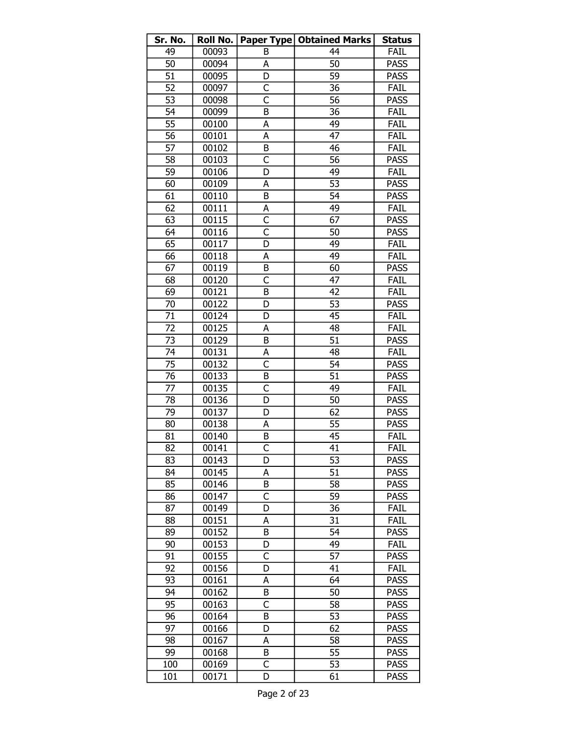| Sr. No.         | Roll No. |                         | Paper Type   Obtained Marks | <b>Status</b> |
|-----------------|----------|-------------------------|-----------------------------|---------------|
| 49              | 00093    | B                       | 44                          | FAIL          |
| 50              | 00094    | А                       | 50                          | <b>PASS</b>   |
| $\overline{51}$ | 00095    | D                       | 59                          | <b>PASS</b>   |
| $\overline{52}$ | 00097    | $\overline{C}$          | 36                          | <b>FAIL</b>   |
| 53              | 00098    | $\overline{\mathsf{c}}$ | 56                          | <b>PASS</b>   |
| 54              | 00099    | B                       | 36                          | FAIL          |
| $\overline{55}$ | 00100    | А                       | 49                          | FAIL          |
| 56              | 00101    | А                       | 47                          | FAIL          |
| 57              | 00102    | B                       | 46                          | FAIL          |
| 58              | 00103    | C                       | 56                          | <b>PASS</b>   |
| 59              | 00106    | D                       | 49                          | FAIL          |
| 60              | 00109    | А                       | 53                          | <b>PASS</b>   |
| 61              | 00110    | B                       | 54                          | <b>PASS</b>   |
| 62              | 00111    | А                       | 49                          | <b>FAIL</b>   |
| 63              | 00115    | $\overline{\mathsf{C}}$ | 67                          | <b>PASS</b>   |
| 64              | 00116    | C                       | 50                          | <b>PASS</b>   |
| 65              | 00117    | D                       | 49                          | <b>FAIL</b>   |
| 66              | 00118    | A                       | 49                          | FAIL          |
| 67              | 00119    | B                       | 60                          | <b>PASS</b>   |
| 68              | 00120    | C                       | 47                          | FAIL          |
| 69              | 00121    | B                       | 42                          | FAIL          |
| 70              | 00122    | D                       | 53                          | <b>PASS</b>   |
| $\overline{71}$ | 00124    | D                       | 45                          | <b>FAIL</b>   |
| 72              | 00125    | A                       | 48                          | FAIL          |
| 73              | 00129    | B                       | 51                          | <b>PASS</b>   |
| 74              | 00131    | A                       | 48                          | <b>FAIL</b>   |
| 75              | 00132    | C                       | 54                          | <b>PASS</b>   |
| 76              | 00133    | B                       | $\overline{51}$             | <b>PASS</b>   |
| $\overline{77}$ | 00135    | $\overline{C}$          | 49                          | <b>FAIL</b>   |
| 78              | 00136    | D                       | 50                          | <b>PASS</b>   |
| 79              | 00137    | D                       | 62                          | <b>PASS</b>   |
| 80              | 00138    | А                       | 55                          | <b>PASS</b>   |
| 81              | 00140    | B                       | 45                          | <b>FAIL</b>   |
| 82              | 00141    | C                       | 41                          | FAIL          |
| 83              | 00143    | D                       | 53                          | <b>PASS</b>   |
| 84              | 00145    | А                       | 51                          | <b>PASS</b>   |
| 85              | 00146    | B                       | 58                          | <b>PASS</b>   |
| 86              | 00147    | C                       | 59                          | <b>PASS</b>   |
| 87              | 00149    | D                       | 36                          | FAIL          |
| 88              | 00151    | A                       | $\overline{31}$             | FAIL          |
| 89              | 00152    | B                       | 54                          | <b>PASS</b>   |
| 90              | 00153    | D                       | 49                          | FAIL          |
| 91              | 00155    | C                       | 57                          | <b>PASS</b>   |
| 92              | 00156    | D                       | 41                          | <b>FAIL</b>   |
| 93              | 00161    | A                       | 64                          | <b>PASS</b>   |
| 94              | 00162    | B                       | 50                          | <b>PASS</b>   |
| 95              | 00163    | C                       | 58                          | <b>PASS</b>   |
| 96              | 00164    | B                       | 53                          | <b>PASS</b>   |
| 97              | 00166    | D                       | 62                          | <b>PASS</b>   |
| 98              | 00167    | A                       | 58                          | <b>PASS</b>   |
| 99              | 00168    | B                       | 55                          | <b>PASS</b>   |
| 100             | 00169    | C                       | 53                          | <b>PASS</b>   |
| 101             | 00171    | D                       | 61                          | <b>PASS</b>   |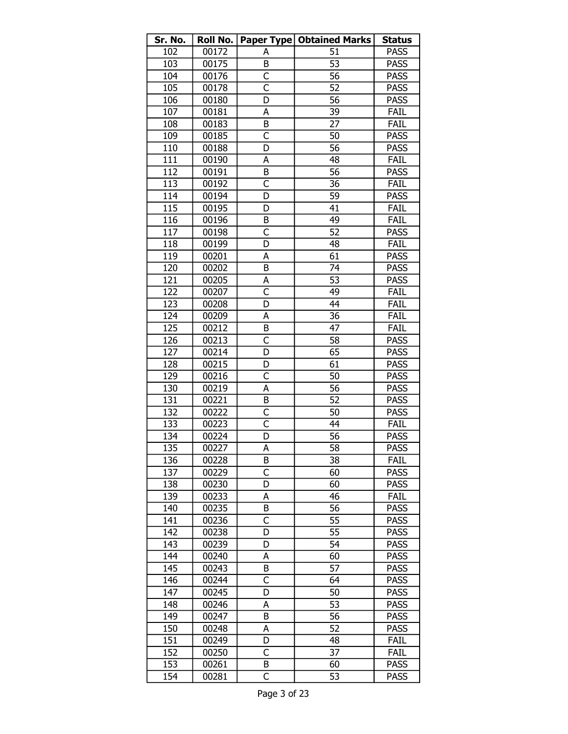| Sr. No. | <b>Roll No.</b> |                         | Paper Type   Obtained Marks | <b>Status</b> |
|---------|-----------------|-------------------------|-----------------------------|---------------|
| 102     | 00172           | A                       | 51                          | <b>PASS</b>   |
| 103     | 00175           | B                       | 53                          | <b>PASS</b>   |
| 104     | 00176           | C                       | 56                          | <b>PASS</b>   |
| 105     | 00178           | $\overline{\mathsf{C}}$ | $\overline{52}$             | <b>PASS</b>   |
| 106     | 00180           | D                       | 56                          | <b>PASS</b>   |
| 107     | 00181           | А                       | 39                          | FAIL          |
| 108     | 00183           | B                       | 27                          | FAIL          |
| 109     | 00185           | $\overline{\mathsf{C}}$ | 50                          | <b>PASS</b>   |
| 110     | 00188           | D                       | 56                          | <b>PASS</b>   |
| 111     | 00190           | А                       | 48                          | FAIL          |
| 112     | 00191           | B                       | 56                          | <b>PASS</b>   |
| 113     | 00192           | C                       | 36                          | FAIL          |
| 114     | 00194           | D                       | 59                          | <b>PASS</b>   |
| 115     | 00195           | D                       | 41                          | FAIL          |
| 116     | 00196           | B                       | 49                          | FAIL          |
| 117     | 00198           | C                       | 52                          | <b>PASS</b>   |
| 118     | 00199           | D                       | 48                          | FAIL          |
| 119     | 00201           | А                       | 61                          | <b>PASS</b>   |
| 120     | 00202           | B                       | 74                          | <b>PASS</b>   |
| 121     | 00205           | А                       | 53                          | <b>PASS</b>   |
| 122     | 00207           | $\overline{\mathsf{C}}$ | 49                          | FAIL          |
| 123     | 00208           | D                       | 44                          | FAIL          |
| 124     | 00209           | А                       | 36                          | FAIL          |
| 125     | 00212           | B                       | 47                          | FAIL          |
| 126     | 00213           | C                       | 58                          | <b>PASS</b>   |
| 127     | 00214           | D                       | 65                          | <b>PASS</b>   |
| 128     | 00215           | D                       | 61                          | <b>PASS</b>   |
| 129     | 00216           | C                       | 50                          | <b>PASS</b>   |
| 130     | 00219           | A                       | 56                          | <b>PASS</b>   |
| 131     | 00221           | B                       | 52                          | <b>PASS</b>   |
| 132     | 00222           | C                       | 50                          | <b>PASS</b>   |
| 133     | 00223           | C                       | 44                          | FAIL          |
| 134     | 00224           | D                       | 56                          | <b>PASS</b>   |
| 135     | 00227           | A                       | $\overline{58}$             | <b>PASS</b>   |
| 136     | 00228           | В                       | 38                          | Fail          |
| 137     | 00229           | C                       | 60                          | <b>PASS</b>   |
| 138     | 00230           | D                       | 60                          | PASS          |
| 139     | 00233           | А                       | 46                          | FAIL          |
| 140     | 00235           | B                       | 56                          | <b>PASS</b>   |
| 141     | 00236           | C                       | 55                          | <b>PASS</b>   |
| 142     | 00238           | D                       | 55                          | <b>PASS</b>   |
| 143     | 00239           | D                       | 54                          | <b>PASS</b>   |
| 144     | 00240           | А                       | 60                          | PASS          |
| 145     | 00243           | B                       | 57                          | <b>PASS</b>   |
| 146     | 00244           | C                       | 64                          | <b>PASS</b>   |
| 147     | 00245           | D                       | 50                          | <b>PASS</b>   |
| 148     | 00246           | А                       | 53                          | <b>PASS</b>   |
| 149     | 00247           | B                       | 56                          | <b>PASS</b>   |
| 150     | 00248           | А                       | 52                          | <b>PASS</b>   |
| 151     | 00249           | D                       | 48                          | FAIL          |
| 152     | 00250           | C                       | 37                          | FAIL          |
| 153     | 00261           | B                       | 60                          | <b>PASS</b>   |
| 154     | 00281           | С                       | 53                          | <b>PASS</b>   |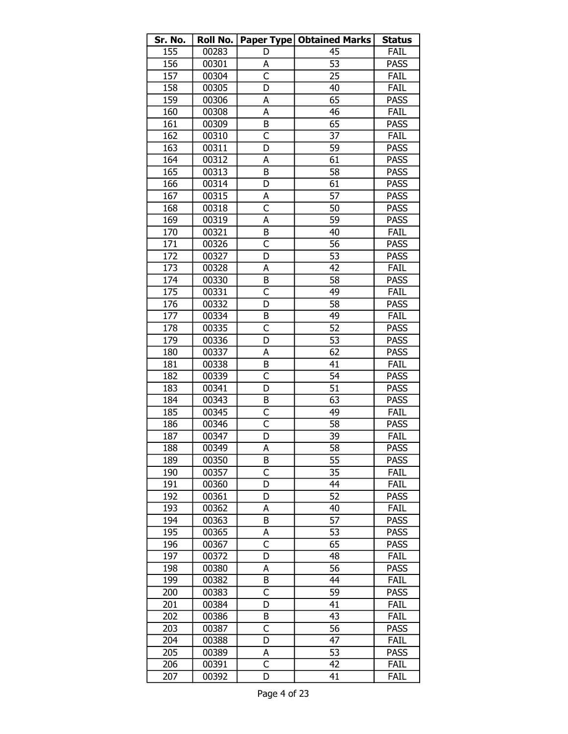| Sr. No. | Roll No. |                         | <b>Paper Type   Obtained Marks</b> | <b>Status</b> |
|---------|----------|-------------------------|------------------------------------|---------------|
| 155     | 00283    | D                       | 45                                 | FAIL          |
| 156     | 00301    | А                       | 53                                 | <b>PASS</b>   |
| 157     | 00304    | $\overline{\mathsf{C}}$ | 25                                 | FAIL          |
| 158     | 00305    | D                       | 40                                 | FAIL          |
| 159     | 00306    | А                       | 65                                 | <b>PASS</b>   |
| 160     | 00308    | $\overline{\mathsf{A}}$ | 46                                 | FAIL          |
| 161     | 00309    | B                       | 65                                 | <b>PASS</b>   |
| 162     | 00310    | $\overline{\mathsf{C}}$ | 37                                 | <b>FAIL</b>   |
| 163     | 00311    | D                       | 59                                 | <b>PASS</b>   |
| 164     | 00312    | А                       | 61                                 | <b>PASS</b>   |
| 165     | 00313    | B                       | 58                                 | <b>PASS</b>   |
| 166     | 00314    | D                       | 61                                 | <b>PASS</b>   |
| 167     | 00315    | А                       | 57                                 | <b>PASS</b>   |
| 168     | 00318    | C                       | 50                                 | <b>PASS</b>   |
| 169     | 00319    | А                       | 59                                 | <b>PASS</b>   |
| 170     | 00321    | B                       | 40                                 | FAIL          |
| 171     | 00326    | $\overline{\mathsf{C}}$ | 56                                 | <b>PASS</b>   |
| 172     | 00327    | D                       | 53                                 | <b>PASS</b>   |
| 173     | 00328    | А                       | 42                                 | FAIL          |
| 174     | 00330    | B                       | 58                                 | <b>PASS</b>   |
| 175     | 00331    | $\overline{\mathsf{C}}$ | 49                                 | FAIL          |
| 176     | 00332    | D                       | 58                                 | <b>PASS</b>   |
| 177     | 00334    | B                       | 49                                 | FAIL          |
| 178     | 00335    | C                       | 52                                 | <b>PASS</b>   |
| 179     | 00336    | D                       | 53                                 | <b>PASS</b>   |
| 180     | 00337    | A                       | 62                                 | <b>PASS</b>   |
| 181     | 00338    | B                       | 41                                 | FAIL          |
| 182     | 00339    | C                       | 54                                 | <b>PASS</b>   |
| 183     | 00341    | D                       | 51                                 | <b>PASS</b>   |
| 184     | 00343    | B                       | 63                                 | <b>PASS</b>   |
| 185     | 00345    | C                       | 49                                 | FAIL          |
| 186     | 00346    | C                       | 58                                 | <b>PASS</b>   |
| 187     | 00347    | D                       | 39                                 | FAIL          |
| 188     | 00349    | A                       | $\overline{58}$                    | <b>PASS</b>   |
| 189     | 00350    | в                       | 55                                 | <b>PASS</b>   |
| 190     | 00357    | C                       | 35                                 | FAIL          |
| 191     | 00360    | D                       | 44                                 | FAIL          |
| 192     | 00361    | D                       | 52                                 | <b>PASS</b>   |
| 193     | 00362    | A                       | 40                                 | FAIL          |
| 194     | 00363    | B                       | 57                                 | <b>PASS</b>   |
| 195     | 00365    | А                       | 53                                 | <b>PASS</b>   |
| 196     | 00367    | C                       | 65                                 | <b>PASS</b>   |
| 197     | 00372    | D                       | 48                                 | FAIL          |
| 198     | 00380    | А                       | 56                                 | <b>PASS</b>   |
| 199     | 00382    | B                       | 44                                 | FAIL          |
| 200     | 00383    | C                       | 59                                 | <b>PASS</b>   |
| 201     | 00384    | D                       | 41                                 | FAIL          |
| 202     | 00386    | B                       | 43                                 | FAIL          |
| 203     | 00387    | C                       | 56                                 | <b>PASS</b>   |
| 204     | 00388    | D                       | 47                                 | FAIL          |
| 205     | 00389    | А                       | 53                                 | <b>PASS</b>   |
| 206     | 00391    | C                       | 42                                 | FAIL          |
| 207     | 00392    | D                       | 41                                 | FAIL          |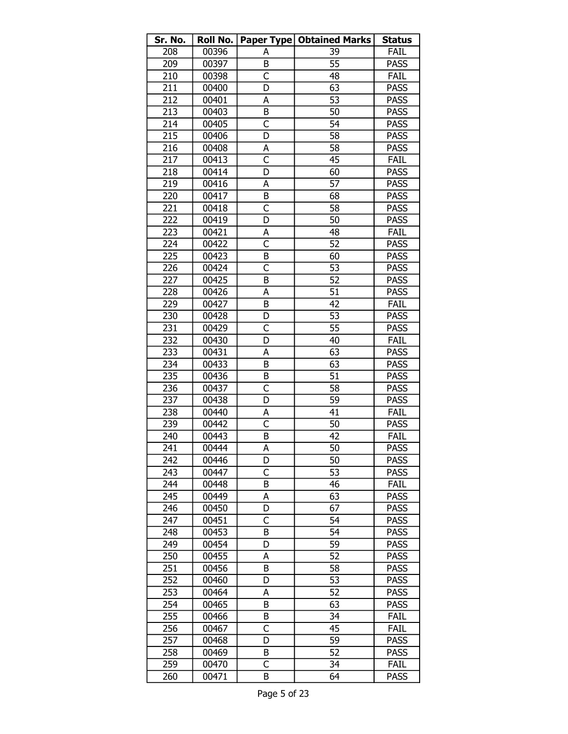| Sr. No. | <b>Roll No.</b> |                         | <b>Paper Type   Obtained Marks</b> | <b>Status</b> |
|---------|-----------------|-------------------------|------------------------------------|---------------|
| 208     | 00396           | А                       | 39                                 | FAIL          |
| 209     | 00397           | B                       | 55                                 | <b>PASS</b>   |
| 210     | 00398           | C                       | 48                                 | <b>FAIL</b>   |
| 211     | 00400           | D                       | 63                                 | <b>PASS</b>   |
| 212     | 00401           | А                       | 53                                 | <b>PASS</b>   |
| 213     | 00403           | B                       | 50                                 | <b>PASS</b>   |
| 214     | 00405           | C                       | 54                                 | <b>PASS</b>   |
| 215     | 00406           | D                       | 58                                 | <b>PASS</b>   |
| 216     | 00408           | А                       | 58                                 | <b>PASS</b>   |
| 217     | 00413           | C                       | 45                                 | FAIL          |
| 218     | 00414           | D                       | 60                                 | <b>PASS</b>   |
| 219     | 00416           | А                       | 57                                 | <b>PASS</b>   |
| 220     | 00417           | B                       | 68                                 | <b>PASS</b>   |
| 221     | 00418           | C                       | 58                                 | <b>PASS</b>   |
| 222     | 00419           | D                       | 50                                 | <b>PASS</b>   |
| 223     | 00421           | А                       | 48                                 | FAIL          |
| 224     | 00422           | $\overline{\mathsf{C}}$ | 52                                 | <b>PASS</b>   |
| 225     | 00423           | B                       | 60                                 | <b>PASS</b>   |
| 226     | 00424           | $\overline{\mathsf{C}}$ | 53                                 | <b>PASS</b>   |
| 227     | 00425           | B                       | 52                                 | <b>PASS</b>   |
| 228     | 00426           | А                       | 51                                 | <b>PASS</b>   |
| 229     | 00427           | B                       | 42                                 | <b>FAIL</b>   |
| 230     | 00428           | D                       | 53                                 | <b>PASS</b>   |
| 231     | 00429           | C                       | 55                                 | <b>PASS</b>   |
| 232     | 00430           | D                       | 40                                 | <b>FAIL</b>   |
| 233     | 00431           | А                       | 63                                 | <b>PASS</b>   |
| 234     | 00433           | B                       | 63                                 | <b>PASS</b>   |
| 235     | 00436           | В                       | 51                                 | <b>PASS</b>   |
| 236     | 00437           | $\overline{C}$          | 58                                 | <b>PASS</b>   |
| 237     | 00438           | D                       | 59                                 | <b>PASS</b>   |
| 238     | 00440           | А                       | 41                                 | <b>FAIL</b>   |
| 239     | 00442           | C                       | 50                                 | <b>PASS</b>   |
| 240     | 00443           | B                       | 42                                 | FAIL          |
| 241     | 00444           | A                       | 50                                 | <b>PASS</b>   |
| 242     | 00446           | D                       | 50                                 | <b>PASS</b>   |
| 243     | 00447           | C                       | 53                                 | <b>PASS</b>   |
| 244     | 00448           | В                       | 46                                 | FAIL          |
| 245     | 00449           | А                       | 63                                 | <b>PASS</b>   |
| 246     | 00450           | D                       | 67                                 | <b>PASS</b>   |
| 247     | 00451           | C                       | 54                                 | <b>PASS</b>   |
| 248     | 00453           | B                       | 54                                 | <b>PASS</b>   |
| 249     | 00454           | D                       | 59                                 | <b>PASS</b>   |
| 250     | 00455           | А                       | 52                                 | <b>PASS</b>   |
| 251     | 00456           | B                       | 58                                 | <b>PASS</b>   |
| 252     | 00460           | D                       | 53                                 | <b>PASS</b>   |
| 253     | 00464           | А                       | 52                                 | <b>PASS</b>   |
| 254     | 00465           | B                       | 63                                 | <b>PASS</b>   |
| 255     | 00466           | В                       | 34                                 | FAIL          |
| 256     | 00467           | C                       | 45                                 | FAIL          |
| 257     | 00468           | D                       | 59                                 | PASS          |
| 258     | 00469           | B                       | 52                                 | <b>PASS</b>   |
| 259     | 00470           | C                       | 34                                 | FAIL          |
| 260     | 00471           | В                       | 64                                 | <b>PASS</b>   |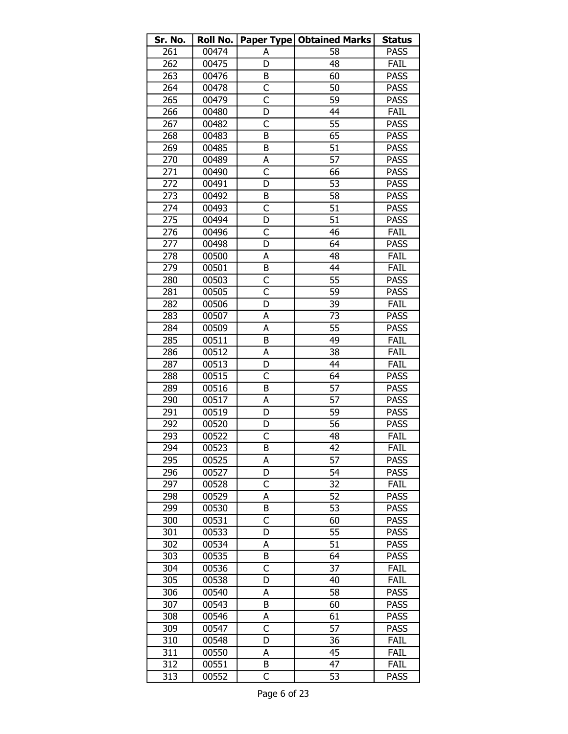| Sr. No. | Roll No. |                         | <b>Paper Type   Obtained Marks</b> | <b>Status</b> |
|---------|----------|-------------------------|------------------------------------|---------------|
| 261     | 00474    | А                       | 58                                 | <b>PASS</b>   |
| 262     | 00475    | D                       | 48                                 | FAIL          |
| 263     | 00476    | В                       | 60                                 | <b>PASS</b>   |
| 264     | 00478    | C                       | 50                                 | <b>PASS</b>   |
| 265     | 00479    | $\overline{\mathsf{c}}$ | 59                                 | <b>PASS</b>   |
| 266     | 00480    | D                       | 44                                 | FAIL          |
| 267     | 00482    | C                       | 55                                 | <b>PASS</b>   |
| 268     | 00483    | B                       | 65                                 | <b>PASS</b>   |
| 269     | 00485    | B                       | 51                                 | <b>PASS</b>   |
| 270     | 00489    | А                       | $\overline{57}$                    | <b>PASS</b>   |
| 271     | 00490    | $\mathsf{C}$            | 66                                 | <b>PASS</b>   |
| 272     | 00491    | D                       | 53                                 | <b>PASS</b>   |
| 273     | 00492    | B                       | 58                                 | <b>PASS</b>   |
| 274     | 00493    | C                       | 51                                 | <b>PASS</b>   |
| 275     | 00494    | D                       | $\overline{51}$                    | <b>PASS</b>   |
| 276     | 00496    | C                       | 46                                 | FAIL          |
| 277     | 00498    | D                       | 64                                 | <b>PASS</b>   |
| 278     | 00500    | А                       | 48                                 | FAIL          |
| 279     | 00501    | B                       | 44                                 | FAIL          |
| 280     | 00503    | C                       | 55                                 | <b>PASS</b>   |
| 281     | 00505    | $\overline{\mathsf{C}}$ | 59                                 | <b>PASS</b>   |
| 282     | 00506    | D                       | 39                                 | FAIL          |
| 283     | 00507    | А                       | 73                                 | <b>PASS</b>   |
| 284     | 00509    | A                       | 55                                 | <b>PASS</b>   |
| 285     | 00511    | B                       | 49                                 | FAIL          |
| 286     | 00512    | А                       | 38                                 | FAIL          |
| 287     | 00513    | D                       | 44                                 | <b>FAIL</b>   |
| 288     | 00515    | C                       | 64                                 | <b>PASS</b>   |
| 289     | 00516    | B                       | 57                                 | <b>PASS</b>   |
| 290     | 00517    | А                       | 57                                 | <b>PASS</b>   |
| 291     | 00519    | D                       | 59                                 | <b>PASS</b>   |
| 292     | 00520    | D                       | 56                                 | <b>PASS</b>   |
| 293     | 00522    | C                       | 48                                 | FAIL          |
| 294     | 00523    | $\overline{B}$          | 42                                 | FAIL          |
| 295     | 00525    | А                       | 57                                 | <b>PASS</b>   |
| 296     | 00527    | D                       | 54                                 | <b>PASS</b>   |
| 297     | 00528    | C                       | 32                                 | FAIL          |
| 298     | 00529    | A                       | 52                                 | <b>PASS</b>   |
| 299     | 00530    | B                       | 53                                 | <b>PASS</b>   |
| 300     | 00531    | C                       | 60                                 | <b>PASS</b>   |
| 301     | 00533    | D                       | 55                                 | <b>PASS</b>   |
| 302     | 00534    | А                       | 51                                 | <b>PASS</b>   |
| 303     | 00535    | В                       | 64                                 | <b>PASS</b>   |
| 304     | 00536    | C                       | 37                                 | FAIL          |
| 305     | 00538    | D                       | 40                                 | FAIL          |
| 306     | 00540    | А                       | 58                                 | <b>PASS</b>   |
| 307     | 00543    | B                       | 60                                 | <b>PASS</b>   |
| 308     | 00546    | А                       | 61                                 | <b>PASS</b>   |
| 309     | 00547    | $\overline{\mathsf{c}}$ | 57                                 | <b>PASS</b>   |
| 310     | 00548    | D                       | 36                                 | FAIL          |
| 311     | 00550    | А                       | 45                                 | FAIL          |
| 312     | 00551    | B                       | 47                                 | FAIL          |
| 313     | 00552    | C                       | $\overline{5}3$                    | <b>PASS</b>   |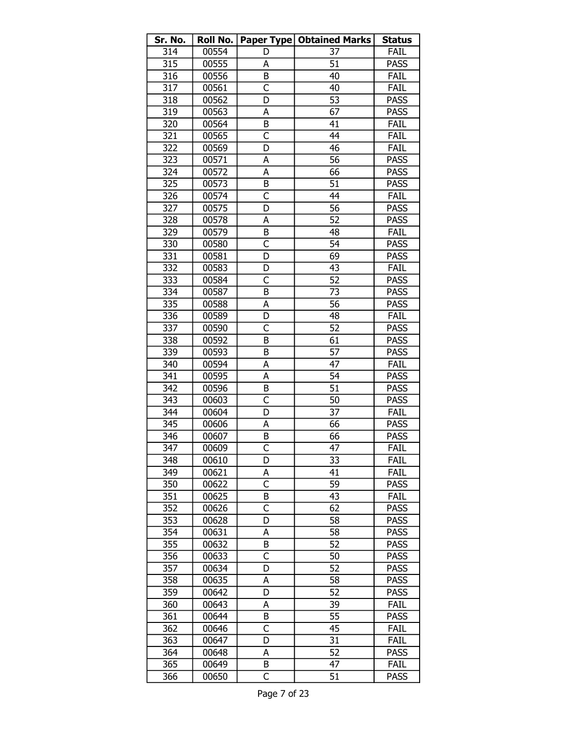| Sr. No. | <b>Roll No.</b> |                         | <b>Paper Type   Obtained Marks</b> | <b>Status</b> |
|---------|-----------------|-------------------------|------------------------------------|---------------|
| 314     | 00554           | D                       | 37                                 | FAIL          |
| 315     | 00555           | А                       | 51                                 | <b>PASS</b>   |
| 316     | 00556           | B                       | 40                                 | FAIL          |
| 317     | 00561           | C                       | 40                                 | FAIL          |
| 318     | 00562           | D                       | 53                                 | <b>PASS</b>   |
| 319     | 00563           | А                       | 67                                 | <b>PASS</b>   |
| 320     | 00564           | B                       | 41                                 | FAIL          |
| 321     | 00565           | C                       | 44                                 | FAIL          |
| 322     | 00569           | D                       | 46                                 | FAIL          |
| 323     | 00571           | А                       | 56                                 | <b>PASS</b>   |
| 324     | 00572           | A                       | 66                                 | <b>PASS</b>   |
| 325     | 00573           | B                       | 51                                 | <b>PASS</b>   |
| 326     | 00574           | $\overline{C}$          | 44                                 | FAIL          |
| 327     | 00575           | D                       | 56                                 | <b>PASS</b>   |
| 328     | 00578           | А                       | 52                                 | <b>PASS</b>   |
| 329     | 00579           | B                       | 48                                 | <b>FAIL</b>   |
| 330     | 00580           | $\overline{\mathsf{C}}$ | $\overline{54}$                    | <b>PASS</b>   |
| 331     | 00581           | D                       | 69                                 | <b>PASS</b>   |
| 332     | 00583           | D                       | 43                                 | FAIL          |
| 333     | 00584           | C                       | 52                                 | <b>PASS</b>   |
| 334     | 00587           | B                       | 73                                 | <b>PASS</b>   |
| 335     | 00588           | A                       | 56                                 | <b>PASS</b>   |
| 336     | 00589           | D                       | 48                                 | FAIL          |
| 337     | 00590           | $\overline{\mathsf{C}}$ | 52                                 | <b>PASS</b>   |
| 338     | 00592           | B                       | 61                                 | <b>PASS</b>   |
| 339     | 00593           | B                       | 57                                 | <b>PASS</b>   |
| 340     | 00594           | А                       | 47                                 | FAIL          |
| 341     | 00595           | А                       | $\overline{54}$                    | <b>PASS</b>   |
| 342     | 00596           | B                       | 51                                 | <b>PASS</b>   |
| 343     | 00603           | C                       | 50                                 | <b>PASS</b>   |
| 344     | 00604           | D                       | 37                                 | FAIL          |
| 345     | 00606           | А                       | 66                                 | <b>PASS</b>   |
| 346     | 00607           | B                       | 66                                 | <b>PASS</b>   |
| 347     | 00609           | C                       | 47                                 | FAIL          |
| 348     | 00610           | D                       | 33                                 | FAIL          |
| 349     | 00621           | А                       | 41                                 | FAIL          |
| 350     | 00622           | C                       | 59                                 | <b>PASS</b>   |
| 351     | 00625           | B                       | 43                                 | FAIL          |
| 352     | 00626           | C                       | 62                                 | <b>PASS</b>   |
| 353     | 00628           | D                       | 58                                 | <b>PASS</b>   |
| 354     | 00631           | А                       | 58                                 | <b>PASS</b>   |
| 355     | 00632           | В                       | 52                                 | <b>PASS</b>   |
| 356     | 00633           | C                       | 50                                 | <b>PASS</b>   |
| 357     | 00634           | D                       | 52                                 | <b>PASS</b>   |
| 358     | 00635           | А                       | 58                                 | <b>PASS</b>   |
| 359     | 00642           | D                       | 52                                 | <b>PASS</b>   |
| 360     | 00643           | А                       | 39                                 | FAIL          |
| 361     | 00644           | В                       | 55                                 | <b>PASS</b>   |
| 362     | 00646           | $\overline{\mathsf{C}}$ | 45                                 | FAIL          |
| 363     | 00647           | D                       | 31                                 | FAIL          |
| 364     | 00648           | А                       | 52                                 | <b>PASS</b>   |
| 365     | 00649           | B                       | 47                                 | FAIL          |
| 366     | 00650           | C                       | 51                                 | <b>PASS</b>   |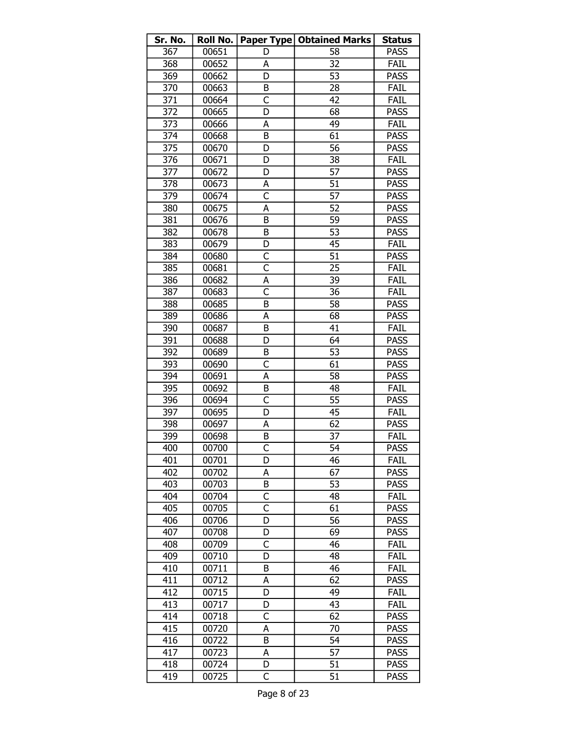| Sr. No. | Roll No. |                         | <b>Paper Type   Obtained Marks</b> | <b>Status</b> |
|---------|----------|-------------------------|------------------------------------|---------------|
| 367     | 00651    | D                       | 58                                 | <b>PASS</b>   |
| 368     | 00652    | А                       | 32                                 | FAIL          |
| 369     | 00662    | D                       | $\overline{53}$                    | <b>PASS</b>   |
| 370     | 00663    | B                       | 28                                 | FAIL          |
| 371     | 00664    | $\overline{\mathsf{C}}$ | 42                                 | FAIL          |
| 372     | 00665    | D                       | 68                                 | <b>PASS</b>   |
| 373     | 00666    | A                       | 49                                 | FAIL          |
| 374     | 00668    | B                       | 61                                 | <b>PASS</b>   |
| 375     | 00670    | D                       | 56                                 | <b>PASS</b>   |
| 376     | 00671    | D                       | 38                                 | FAIL          |
| 377     | 00672    | D                       | 57                                 | <b>PASS</b>   |
| 378     | 00673    | A                       | 51                                 | <b>PASS</b>   |
| 379     | 00674    | $\overline{\mathsf{C}}$ | 57                                 | <b>PASS</b>   |
| 380     | 00675    | A                       | 52                                 | <b>PASS</b>   |
| 381     | 00676    | B                       | 59                                 | <b>PASS</b>   |
| 382     | 00678    | B                       | 53                                 | <b>PASS</b>   |
| 383     | 00679    | D                       | 45                                 | FAIL          |
| 384     | 00680    | C                       | 51                                 | <b>PASS</b>   |
| 385     | 00681    | $\overline{\mathsf{C}}$ | 25                                 | <b>FAIL</b>   |
| 386     | 00682    | A                       | 39                                 | FAIL          |
| 387     | 00683    | $\overline{\mathsf{C}}$ | 36                                 | FAIL          |
| 388     | 00685    | B                       | 58                                 | <b>PASS</b>   |
| 389     | 00686    | А                       | 68                                 | <b>PASS</b>   |
| 390     | 00687    | B                       | 41                                 | FAIL          |
| 391     | 00688    | D                       | 64                                 | <b>PASS</b>   |
| 392     | 00689    | B                       | 53                                 | <b>PASS</b>   |
| 393     | 00690    | C                       | 61                                 | <b>PASS</b>   |
| 394     | 00691    | А                       | $\overline{58}$                    | <b>PASS</b>   |
| 395     | 00692    | B                       | 48                                 | FAIL          |
| 396     | 00694    | $\overline{\mathsf{C}}$ | 55                                 | <b>PASS</b>   |
| 397     | 00695    | D                       | 45                                 | FAIL          |
| 398     | 00697    | А                       | 62                                 | <b>PASS</b>   |
| 399     | 00698    | B                       | 37                                 | FAIL          |
| 400     | 00700    | C                       | $\overline{54}$                    | <b>PASS</b>   |
| 401     | 00701    | D                       | 46                                 | FAIL          |
| 402     | 00702    | A                       | 67                                 | <b>PASS</b>   |
| 403     | 00703    | B                       | 53                                 | <b>PASS</b>   |
| 404     | 00704    | C                       | 48                                 | FAIL          |
| 405     | 00705    | $\overline{\mathsf{c}}$ | 61                                 | <b>PASS</b>   |
| 406     | 00706    | D                       | 56                                 | <b>PASS</b>   |
| 407     | 00708    | D                       | 69                                 | <b>PASS</b>   |
| 408     | 00709    | C                       | 46                                 | FAIL          |
| 409     | 00710    | D                       | 48                                 | FAIL          |
| 410     | 00711    | B                       | 46                                 | FAIL          |
| 411     | 00712    | A                       | 62                                 | <b>PASS</b>   |
| 412     | 00715    | D                       | 49                                 | FAIL          |
| 413     | 00717    | D                       | 43                                 | FAIL          |
| 414     | 00718    | C                       | 62                                 | <b>PASS</b>   |
| 415     | 00720    | А                       | 70                                 | <b>PASS</b>   |
| 416     | 00722    | B                       | 54                                 | <b>PASS</b>   |
| 417     | 00723    | А                       | 57                                 | <b>PASS</b>   |
| 418     | 00724    | D                       | 51                                 | <b>PASS</b>   |
| 419     | 00725    | C                       | $\overline{51}$                    | <b>PASS</b>   |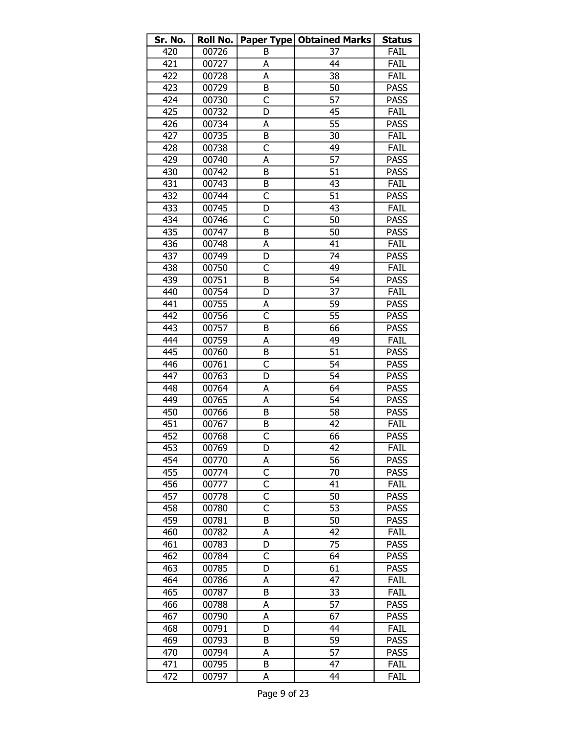| Sr. No. | Roll No. |                         | <b>Paper Type   Obtained Marks</b> | <b>Status</b> |
|---------|----------|-------------------------|------------------------------------|---------------|
| 420     | 00726    | B                       | 37                                 | FAIL          |
| 421     | 00727    | A                       | 44                                 | FAIL          |
| 422     | 00728    | А                       | 38                                 | FAIL          |
| 423     | 00729    | B                       | 50                                 | <b>PASS</b>   |
| 424     | 00730    | $\overline{\mathsf{C}}$ | 57                                 | <b>PASS</b>   |
| 425     | 00732    | D                       | 45                                 | FAIL          |
| 426     | 00734    | А                       | 55                                 | <b>PASS</b>   |
| 427     | 00735    | B                       | 30                                 | <b>FAIL</b>   |
| 428     | 00738    | C                       | 49                                 | FAIL          |
| 429     | 00740    | Α                       | 57                                 | <b>PASS</b>   |
| 430     | 00742    | B                       | 51                                 | <b>PASS</b>   |
| 431     | 00743    | B                       | 43                                 | <b>FAIL</b>   |
| 432     | 00744    | C                       | 51                                 | <b>PASS</b>   |
| 433     | 00745    | D                       | 43                                 | FAIL          |
| 434     | 00746    | C                       | 50                                 | <b>PASS</b>   |
| 435     | 00747    | B                       | 50                                 | <b>PASS</b>   |
| 436     | 00748    | A                       | 41                                 | FAIL          |
| 437     | 00749    | D                       | 74                                 | <b>PASS</b>   |
| 438     | 00750    | $\overline{\mathsf{C}}$ | 49                                 | FAIL          |
| 439     | 00751    | B                       | 54                                 | <b>PASS</b>   |
| 440     | 00754    | D                       | $\overline{3}$                     | FAIL          |
| 441     | 00755    | А                       | 59                                 | <b>PASS</b>   |
| 442     | 00756    | $\overline{\mathsf{c}}$ | 55                                 | <b>PASS</b>   |
| 443     | 00757    | B                       | 66                                 | <b>PASS</b>   |
| 444     | 00759    | А                       | 49                                 | <b>FAIL</b>   |
| 445     | 00760    | B                       | $\overline{51}$                    | <b>PASS</b>   |
| 446     | 00761    | C                       | 54                                 | <b>PASS</b>   |
| 447     | 00763    | D                       | $\overline{54}$                    | <b>PASS</b>   |
| 448     | 00764    | Α                       | 64                                 | <b>PASS</b>   |
| 449     | 00765    | А                       | 54                                 | <b>PASS</b>   |
| 450     | 00766    | B                       | 58                                 | <b>PASS</b>   |
| 451     | 00767    | B                       | 42                                 | FAIL          |
| 452     | 00768    | C                       | 66                                 | <b>PASS</b>   |
| 453     | 00769    | D                       | 42                                 | FAIL          |
| 454     | 00770    | А                       | 56                                 | <b>PASS</b>   |
| 455     | 00774    | $\mathsf{C}$            | 70                                 | <b>PASS</b>   |
| 456     | 00777    | C                       | 41                                 | FAIL          |
| 457     | 00778    | C                       | 50                                 | <b>PASS</b>   |
| 458     | 00780    | Ċ                       | 53                                 | <b>PASS</b>   |
| 459     | 00781    | B                       | 50                                 | <b>PASS</b>   |
| 460     | 00782    | А                       | 42                                 | FAIL          |
| 461     | 00783    | D                       | 75                                 | <b>PASS</b>   |
| 462     | 00784    | C                       | 64                                 | PASS          |
| 463     | 00785    | D                       | 61                                 | <b>PASS</b>   |
| 464     | 00786    | A                       | 47                                 | FAIL          |
| 465     | 00787    | B                       | 33                                 | FAIL          |
| 466     | 00788    | A                       | 57                                 | <b>PASS</b>   |
| 467     | 00790    | A                       | 67                                 | <b>PASS</b>   |
| 468     | 00791    | D                       | 44                                 | FAIL          |
| 469     | 00793    | B                       | 59                                 | <b>PASS</b>   |
| 470     | 00794    | A                       | 57                                 | <b>PASS</b>   |
| 471     | 00795    | B                       | 47                                 | FAIL          |
| 472     | 00797    | A                       | 44                                 | FAIL          |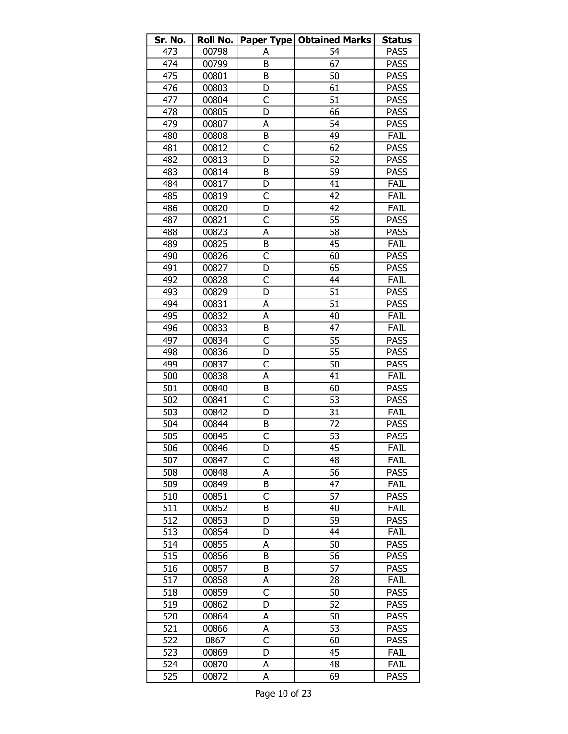| Sr. No. | Roll No. |                              | <b>Paper Type   Obtained Marks</b> | <b>Status</b> |
|---------|----------|------------------------------|------------------------------------|---------------|
| 473     | 00798    | А                            | 54                                 | <b>PASS</b>   |
| 474     | 00799    | B                            | 67                                 | <b>PASS</b>   |
| 475     | 00801    | B                            | 50                                 | <b>PASS</b>   |
| 476     | 00803    | D                            | 61                                 | <b>PASS</b>   |
| 477     | 00804    | C                            | 51                                 | <b>PASS</b>   |
| 478     | 00805    | D                            | 66                                 | <b>PASS</b>   |
| 479     | 00807    | A                            | 54                                 | <b>PASS</b>   |
| 480     | 00808    | B                            | 49                                 | FAIL          |
| 481     | 00812    | C                            | 62                                 | <b>PASS</b>   |
| 482     | 00813    | D                            | $\overline{52}$                    | <b>PASS</b>   |
| 483     | 00814    | B                            | 59                                 | <b>PASS</b>   |
| 484     | 00817    | D                            | 41                                 | FAIL          |
| 485     | 00819    | C                            | 42                                 | FAIL          |
| 486     | 00820    | D                            | 42                                 | <b>FAIL</b>   |
| 487     | 00821    | C                            | 55                                 | <b>PASS</b>   |
| 488     | 00823    | А                            | 58                                 | <b>PASS</b>   |
| 489     | 00825    | B                            | 45                                 | FAIL          |
| 490     | 00826    | C                            | 60                                 | <b>PASS</b>   |
| 491     | 00827    | D                            | 65                                 | <b>PASS</b>   |
| 492     | 00828    | C                            | 44                                 | FAIL          |
| 493     | 00829    | D                            | 51                                 | <b>PASS</b>   |
| 494     | 00831    | A                            | $\overline{51}$                    | <b>PASS</b>   |
| 495     | 00832    | A                            | 40                                 | FAIL          |
| 496     | 00833    | B                            | 47                                 | FAIL          |
| 497     | 00834    | C                            | 55                                 | <b>PASS</b>   |
| 498     | 00836    | D                            | 55                                 | <b>PASS</b>   |
|         |          | C                            | 50                                 | <b>PASS</b>   |
| 499     | 00837    | А                            | 41                                 | <b>FAIL</b>   |
| 500     | 00838    |                              |                                    |               |
| 501     | 00840    | B<br>$\overline{\mathsf{C}}$ | 60<br>53                           | <b>PASS</b>   |
| 502     | 00841    |                              |                                    | <b>PASS</b>   |
| 503     | 00842    | D                            | 31                                 | FAIL          |
| 504     | 00844    | B                            | 72                                 | <b>PASS</b>   |
| 505     | 00845    | C                            | 53                                 | <b>PASS</b>   |
| 506     | 00846    | D                            | 45                                 | FAIL          |
| 507     | 00847    | C                            | 48                                 | <b>FAIL</b>   |
| 508     | 00848    | A                            | 56                                 | <b>PASS</b>   |
| 509     | 00849    | B                            | 47                                 | FAIL          |
| 510     | 00851    | C                            | 57                                 | <b>PASS</b>   |
| 511     | 00852    | B                            | 40                                 | FAIL          |
| 512     | 00853    | D                            | 59                                 | <b>PASS</b>   |
| 513     | 00854    | D                            | 44                                 | FAIL          |
| 514     | 00855    | Α                            | 50                                 | <b>PASS</b>   |
| 515     | 00856    | В                            | 56                                 | <b>PASS</b>   |
| 516     | 00857    | B                            | 57                                 | <b>PASS</b>   |
| 517     | 00858    | А                            | 28                                 | FAIL          |
| 518     | 00859    | C                            | 50                                 | <b>PASS</b>   |
| 519     | 00862    | D                            | 52                                 | <b>PASS</b>   |
| 520     | 00864    | А                            | 50                                 | <b>PASS</b>   |
| 521     | 00866    | А                            | 53                                 | <b>PASS</b>   |
| 522     | 0867     | C                            | 60                                 | <b>PASS</b>   |
| 523     | 00869    | D                            | 45                                 | FAIL          |
| 524     | 00870    | А                            | 48                                 | FAIL          |
| 525     | 00872    | А                            | 69                                 | <b>PASS</b>   |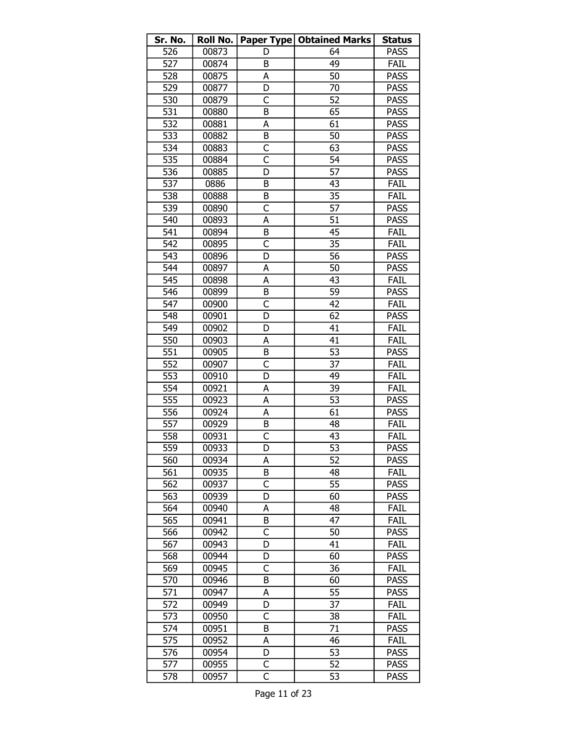| 526<br>00873<br><b>PASS</b><br>64<br>D<br>527<br>49<br>00874<br>FAIL<br>B<br>528<br>50<br>00875<br><b>PASS</b><br>A<br>529<br><b>PASS</b><br>00877<br>D<br>70<br>C<br>52<br><b>PASS</b><br>530<br>00879<br>531<br>B<br>65<br><b>PASS</b><br>00880<br>532<br>61<br>00881<br>А<br><b>PASS</b><br>533<br>B<br>50<br><b>PASS</b><br>00882<br>534<br>C<br>63<br><b>PASS</b><br>00883<br>$\overline{\mathsf{c}}$<br>535<br>54<br><b>PASS</b><br>00884<br>536<br>D<br>57<br><b>PASS</b><br>00885<br>537<br>FAIL<br>0886<br>B<br>43<br>B<br>35<br>538<br>00888<br><b>FAIL</b><br>57<br>539<br>C<br><b>PASS</b><br>00890<br>$\overline{51}$<br>540<br><b>PASS</b><br>00893<br>А<br>541<br>45<br>FAIL<br>00894<br>B<br>$\overline{\mathsf{C}}$<br>542<br>35<br>FAIL<br>00895<br>D<br>56<br>543<br><b>PASS</b><br>00896<br>544<br>50<br>00897<br>A<br><b>PASS</b><br>545<br>FAIL<br>00898<br>A<br>43<br>546<br>59<br>B<br><b>PASS</b><br>00899<br>C<br>42<br>547<br>FAIL<br>00900<br>548<br>62<br><b>PASS</b><br>00901<br>D<br>549<br>41<br>FAIL<br>00902<br>D<br>550<br>41<br>FAIL<br>00903<br>A<br>551<br>00905<br>53<br><b>PASS</b><br>B<br>552<br>C<br>37<br>00907<br>FAIL<br>553<br>D<br>49<br>FAIL<br>00910<br>554<br>39<br>FAIL<br>00921<br>А<br>555<br>A<br>53<br>00923<br><b>PASS</b><br>556<br>A<br>61<br>00924<br><b>PASS</b><br>B<br>FAIL<br>557<br>00929<br>48<br>558<br>00931<br>C<br>43<br>FAIL<br>559<br>$\overline{53}$<br>00933<br><b>PASS</b><br>D<br>52<br>560<br>00934<br>А<br><b>PASS</b><br>561<br>00935<br>B<br>48<br>FAIL<br>C<br>55<br><b>PASS</b><br>562<br>00937<br>563<br>00939<br>D<br>60<br><b>PASS</b><br>564<br>00940<br>48<br>FAIL<br>A<br>565<br>00941<br>47<br>FAIL<br>B<br>566<br>50<br>00942<br>C<br><b>PASS</b><br>567<br>41<br>FAIL<br>00943<br>D<br>568<br>00944<br><b>PASS</b><br>60<br>D<br>569<br>00945<br>C<br>36<br><b>FAIL</b><br>570<br>00946<br><b>PASS</b><br>B<br>60<br>571<br>55<br><b>PASS</b><br>00947<br>А<br>37<br>FAIL<br>572<br>00949<br>D<br>573<br>00950<br>FAIL<br>C<br>38<br>574<br>71<br>00951<br><b>PASS</b><br>B<br>575<br>00952<br>А<br>46<br>FAIL<br>576<br>00954<br>D<br>53<br><b>PASS</b> | Sr. No. | <b>Roll No.</b> | Paper Type   Obtained Marks | <b>Status</b> |
|-----------------------------------------------------------------------------------------------------------------------------------------------------------------------------------------------------------------------------------------------------------------------------------------------------------------------------------------------------------------------------------------------------------------------------------------------------------------------------------------------------------------------------------------------------------------------------------------------------------------------------------------------------------------------------------------------------------------------------------------------------------------------------------------------------------------------------------------------------------------------------------------------------------------------------------------------------------------------------------------------------------------------------------------------------------------------------------------------------------------------------------------------------------------------------------------------------------------------------------------------------------------------------------------------------------------------------------------------------------------------------------------------------------------------------------------------------------------------------------------------------------------------------------------------------------------------------------------------------------------------------------------------------------------------------------------------------------------------------------------------------------------------------------------------------------------------------------------------------------------------------------------------------------------------------------------------------------------------------------------------------------------------------------------------------------------------------------------------------------------------------------------------------|---------|-----------------|-----------------------------|---------------|
|                                                                                                                                                                                                                                                                                                                                                                                                                                                                                                                                                                                                                                                                                                                                                                                                                                                                                                                                                                                                                                                                                                                                                                                                                                                                                                                                                                                                                                                                                                                                                                                                                                                                                                                                                                                                                                                                                                                                                                                                                                                                                                                                                     |         |                 |                             |               |
|                                                                                                                                                                                                                                                                                                                                                                                                                                                                                                                                                                                                                                                                                                                                                                                                                                                                                                                                                                                                                                                                                                                                                                                                                                                                                                                                                                                                                                                                                                                                                                                                                                                                                                                                                                                                                                                                                                                                                                                                                                                                                                                                                     |         |                 |                             |               |
|                                                                                                                                                                                                                                                                                                                                                                                                                                                                                                                                                                                                                                                                                                                                                                                                                                                                                                                                                                                                                                                                                                                                                                                                                                                                                                                                                                                                                                                                                                                                                                                                                                                                                                                                                                                                                                                                                                                                                                                                                                                                                                                                                     |         |                 |                             |               |
|                                                                                                                                                                                                                                                                                                                                                                                                                                                                                                                                                                                                                                                                                                                                                                                                                                                                                                                                                                                                                                                                                                                                                                                                                                                                                                                                                                                                                                                                                                                                                                                                                                                                                                                                                                                                                                                                                                                                                                                                                                                                                                                                                     |         |                 |                             |               |
|                                                                                                                                                                                                                                                                                                                                                                                                                                                                                                                                                                                                                                                                                                                                                                                                                                                                                                                                                                                                                                                                                                                                                                                                                                                                                                                                                                                                                                                                                                                                                                                                                                                                                                                                                                                                                                                                                                                                                                                                                                                                                                                                                     |         |                 |                             |               |
|                                                                                                                                                                                                                                                                                                                                                                                                                                                                                                                                                                                                                                                                                                                                                                                                                                                                                                                                                                                                                                                                                                                                                                                                                                                                                                                                                                                                                                                                                                                                                                                                                                                                                                                                                                                                                                                                                                                                                                                                                                                                                                                                                     |         |                 |                             |               |
|                                                                                                                                                                                                                                                                                                                                                                                                                                                                                                                                                                                                                                                                                                                                                                                                                                                                                                                                                                                                                                                                                                                                                                                                                                                                                                                                                                                                                                                                                                                                                                                                                                                                                                                                                                                                                                                                                                                                                                                                                                                                                                                                                     |         |                 |                             |               |
|                                                                                                                                                                                                                                                                                                                                                                                                                                                                                                                                                                                                                                                                                                                                                                                                                                                                                                                                                                                                                                                                                                                                                                                                                                                                                                                                                                                                                                                                                                                                                                                                                                                                                                                                                                                                                                                                                                                                                                                                                                                                                                                                                     |         |                 |                             |               |
|                                                                                                                                                                                                                                                                                                                                                                                                                                                                                                                                                                                                                                                                                                                                                                                                                                                                                                                                                                                                                                                                                                                                                                                                                                                                                                                                                                                                                                                                                                                                                                                                                                                                                                                                                                                                                                                                                                                                                                                                                                                                                                                                                     |         |                 |                             |               |
|                                                                                                                                                                                                                                                                                                                                                                                                                                                                                                                                                                                                                                                                                                                                                                                                                                                                                                                                                                                                                                                                                                                                                                                                                                                                                                                                                                                                                                                                                                                                                                                                                                                                                                                                                                                                                                                                                                                                                                                                                                                                                                                                                     |         |                 |                             |               |
|                                                                                                                                                                                                                                                                                                                                                                                                                                                                                                                                                                                                                                                                                                                                                                                                                                                                                                                                                                                                                                                                                                                                                                                                                                                                                                                                                                                                                                                                                                                                                                                                                                                                                                                                                                                                                                                                                                                                                                                                                                                                                                                                                     |         |                 |                             |               |
|                                                                                                                                                                                                                                                                                                                                                                                                                                                                                                                                                                                                                                                                                                                                                                                                                                                                                                                                                                                                                                                                                                                                                                                                                                                                                                                                                                                                                                                                                                                                                                                                                                                                                                                                                                                                                                                                                                                                                                                                                                                                                                                                                     |         |                 |                             |               |
|                                                                                                                                                                                                                                                                                                                                                                                                                                                                                                                                                                                                                                                                                                                                                                                                                                                                                                                                                                                                                                                                                                                                                                                                                                                                                                                                                                                                                                                                                                                                                                                                                                                                                                                                                                                                                                                                                                                                                                                                                                                                                                                                                     |         |                 |                             |               |
|                                                                                                                                                                                                                                                                                                                                                                                                                                                                                                                                                                                                                                                                                                                                                                                                                                                                                                                                                                                                                                                                                                                                                                                                                                                                                                                                                                                                                                                                                                                                                                                                                                                                                                                                                                                                                                                                                                                                                                                                                                                                                                                                                     |         |                 |                             |               |
|                                                                                                                                                                                                                                                                                                                                                                                                                                                                                                                                                                                                                                                                                                                                                                                                                                                                                                                                                                                                                                                                                                                                                                                                                                                                                                                                                                                                                                                                                                                                                                                                                                                                                                                                                                                                                                                                                                                                                                                                                                                                                                                                                     |         |                 |                             |               |
|                                                                                                                                                                                                                                                                                                                                                                                                                                                                                                                                                                                                                                                                                                                                                                                                                                                                                                                                                                                                                                                                                                                                                                                                                                                                                                                                                                                                                                                                                                                                                                                                                                                                                                                                                                                                                                                                                                                                                                                                                                                                                                                                                     |         |                 |                             |               |
|                                                                                                                                                                                                                                                                                                                                                                                                                                                                                                                                                                                                                                                                                                                                                                                                                                                                                                                                                                                                                                                                                                                                                                                                                                                                                                                                                                                                                                                                                                                                                                                                                                                                                                                                                                                                                                                                                                                                                                                                                                                                                                                                                     |         |                 |                             |               |
|                                                                                                                                                                                                                                                                                                                                                                                                                                                                                                                                                                                                                                                                                                                                                                                                                                                                                                                                                                                                                                                                                                                                                                                                                                                                                                                                                                                                                                                                                                                                                                                                                                                                                                                                                                                                                                                                                                                                                                                                                                                                                                                                                     |         |                 |                             |               |
|                                                                                                                                                                                                                                                                                                                                                                                                                                                                                                                                                                                                                                                                                                                                                                                                                                                                                                                                                                                                                                                                                                                                                                                                                                                                                                                                                                                                                                                                                                                                                                                                                                                                                                                                                                                                                                                                                                                                                                                                                                                                                                                                                     |         |                 |                             |               |
|                                                                                                                                                                                                                                                                                                                                                                                                                                                                                                                                                                                                                                                                                                                                                                                                                                                                                                                                                                                                                                                                                                                                                                                                                                                                                                                                                                                                                                                                                                                                                                                                                                                                                                                                                                                                                                                                                                                                                                                                                                                                                                                                                     |         |                 |                             |               |
|                                                                                                                                                                                                                                                                                                                                                                                                                                                                                                                                                                                                                                                                                                                                                                                                                                                                                                                                                                                                                                                                                                                                                                                                                                                                                                                                                                                                                                                                                                                                                                                                                                                                                                                                                                                                                                                                                                                                                                                                                                                                                                                                                     |         |                 |                             |               |
|                                                                                                                                                                                                                                                                                                                                                                                                                                                                                                                                                                                                                                                                                                                                                                                                                                                                                                                                                                                                                                                                                                                                                                                                                                                                                                                                                                                                                                                                                                                                                                                                                                                                                                                                                                                                                                                                                                                                                                                                                                                                                                                                                     |         |                 |                             |               |
|                                                                                                                                                                                                                                                                                                                                                                                                                                                                                                                                                                                                                                                                                                                                                                                                                                                                                                                                                                                                                                                                                                                                                                                                                                                                                                                                                                                                                                                                                                                                                                                                                                                                                                                                                                                                                                                                                                                                                                                                                                                                                                                                                     |         |                 |                             |               |
|                                                                                                                                                                                                                                                                                                                                                                                                                                                                                                                                                                                                                                                                                                                                                                                                                                                                                                                                                                                                                                                                                                                                                                                                                                                                                                                                                                                                                                                                                                                                                                                                                                                                                                                                                                                                                                                                                                                                                                                                                                                                                                                                                     |         |                 |                             |               |
|                                                                                                                                                                                                                                                                                                                                                                                                                                                                                                                                                                                                                                                                                                                                                                                                                                                                                                                                                                                                                                                                                                                                                                                                                                                                                                                                                                                                                                                                                                                                                                                                                                                                                                                                                                                                                                                                                                                                                                                                                                                                                                                                                     |         |                 |                             |               |
|                                                                                                                                                                                                                                                                                                                                                                                                                                                                                                                                                                                                                                                                                                                                                                                                                                                                                                                                                                                                                                                                                                                                                                                                                                                                                                                                                                                                                                                                                                                                                                                                                                                                                                                                                                                                                                                                                                                                                                                                                                                                                                                                                     |         |                 |                             |               |
|                                                                                                                                                                                                                                                                                                                                                                                                                                                                                                                                                                                                                                                                                                                                                                                                                                                                                                                                                                                                                                                                                                                                                                                                                                                                                                                                                                                                                                                                                                                                                                                                                                                                                                                                                                                                                                                                                                                                                                                                                                                                                                                                                     |         |                 |                             |               |
|                                                                                                                                                                                                                                                                                                                                                                                                                                                                                                                                                                                                                                                                                                                                                                                                                                                                                                                                                                                                                                                                                                                                                                                                                                                                                                                                                                                                                                                                                                                                                                                                                                                                                                                                                                                                                                                                                                                                                                                                                                                                                                                                                     |         |                 |                             |               |
|                                                                                                                                                                                                                                                                                                                                                                                                                                                                                                                                                                                                                                                                                                                                                                                                                                                                                                                                                                                                                                                                                                                                                                                                                                                                                                                                                                                                                                                                                                                                                                                                                                                                                                                                                                                                                                                                                                                                                                                                                                                                                                                                                     |         |                 |                             |               |
|                                                                                                                                                                                                                                                                                                                                                                                                                                                                                                                                                                                                                                                                                                                                                                                                                                                                                                                                                                                                                                                                                                                                                                                                                                                                                                                                                                                                                                                                                                                                                                                                                                                                                                                                                                                                                                                                                                                                                                                                                                                                                                                                                     |         |                 |                             |               |
|                                                                                                                                                                                                                                                                                                                                                                                                                                                                                                                                                                                                                                                                                                                                                                                                                                                                                                                                                                                                                                                                                                                                                                                                                                                                                                                                                                                                                                                                                                                                                                                                                                                                                                                                                                                                                                                                                                                                                                                                                                                                                                                                                     |         |                 |                             |               |
|                                                                                                                                                                                                                                                                                                                                                                                                                                                                                                                                                                                                                                                                                                                                                                                                                                                                                                                                                                                                                                                                                                                                                                                                                                                                                                                                                                                                                                                                                                                                                                                                                                                                                                                                                                                                                                                                                                                                                                                                                                                                                                                                                     |         |                 |                             |               |
|                                                                                                                                                                                                                                                                                                                                                                                                                                                                                                                                                                                                                                                                                                                                                                                                                                                                                                                                                                                                                                                                                                                                                                                                                                                                                                                                                                                                                                                                                                                                                                                                                                                                                                                                                                                                                                                                                                                                                                                                                                                                                                                                                     |         |                 |                             |               |
|                                                                                                                                                                                                                                                                                                                                                                                                                                                                                                                                                                                                                                                                                                                                                                                                                                                                                                                                                                                                                                                                                                                                                                                                                                                                                                                                                                                                                                                                                                                                                                                                                                                                                                                                                                                                                                                                                                                                                                                                                                                                                                                                                     |         |                 |                             |               |
|                                                                                                                                                                                                                                                                                                                                                                                                                                                                                                                                                                                                                                                                                                                                                                                                                                                                                                                                                                                                                                                                                                                                                                                                                                                                                                                                                                                                                                                                                                                                                                                                                                                                                                                                                                                                                                                                                                                                                                                                                                                                                                                                                     |         |                 |                             |               |
|                                                                                                                                                                                                                                                                                                                                                                                                                                                                                                                                                                                                                                                                                                                                                                                                                                                                                                                                                                                                                                                                                                                                                                                                                                                                                                                                                                                                                                                                                                                                                                                                                                                                                                                                                                                                                                                                                                                                                                                                                                                                                                                                                     |         |                 |                             |               |
|                                                                                                                                                                                                                                                                                                                                                                                                                                                                                                                                                                                                                                                                                                                                                                                                                                                                                                                                                                                                                                                                                                                                                                                                                                                                                                                                                                                                                                                                                                                                                                                                                                                                                                                                                                                                                                                                                                                                                                                                                                                                                                                                                     |         |                 |                             |               |
|                                                                                                                                                                                                                                                                                                                                                                                                                                                                                                                                                                                                                                                                                                                                                                                                                                                                                                                                                                                                                                                                                                                                                                                                                                                                                                                                                                                                                                                                                                                                                                                                                                                                                                                                                                                                                                                                                                                                                                                                                                                                                                                                                     |         |                 |                             |               |
|                                                                                                                                                                                                                                                                                                                                                                                                                                                                                                                                                                                                                                                                                                                                                                                                                                                                                                                                                                                                                                                                                                                                                                                                                                                                                                                                                                                                                                                                                                                                                                                                                                                                                                                                                                                                                                                                                                                                                                                                                                                                                                                                                     |         |                 |                             |               |
|                                                                                                                                                                                                                                                                                                                                                                                                                                                                                                                                                                                                                                                                                                                                                                                                                                                                                                                                                                                                                                                                                                                                                                                                                                                                                                                                                                                                                                                                                                                                                                                                                                                                                                                                                                                                                                                                                                                                                                                                                                                                                                                                                     |         |                 |                             |               |
|                                                                                                                                                                                                                                                                                                                                                                                                                                                                                                                                                                                                                                                                                                                                                                                                                                                                                                                                                                                                                                                                                                                                                                                                                                                                                                                                                                                                                                                                                                                                                                                                                                                                                                                                                                                                                                                                                                                                                                                                                                                                                                                                                     |         |                 |                             |               |
|                                                                                                                                                                                                                                                                                                                                                                                                                                                                                                                                                                                                                                                                                                                                                                                                                                                                                                                                                                                                                                                                                                                                                                                                                                                                                                                                                                                                                                                                                                                                                                                                                                                                                                                                                                                                                                                                                                                                                                                                                                                                                                                                                     |         |                 |                             |               |
|                                                                                                                                                                                                                                                                                                                                                                                                                                                                                                                                                                                                                                                                                                                                                                                                                                                                                                                                                                                                                                                                                                                                                                                                                                                                                                                                                                                                                                                                                                                                                                                                                                                                                                                                                                                                                                                                                                                                                                                                                                                                                                                                                     |         |                 |                             |               |
|                                                                                                                                                                                                                                                                                                                                                                                                                                                                                                                                                                                                                                                                                                                                                                                                                                                                                                                                                                                                                                                                                                                                                                                                                                                                                                                                                                                                                                                                                                                                                                                                                                                                                                                                                                                                                                                                                                                                                                                                                                                                                                                                                     |         |                 |                             |               |
|                                                                                                                                                                                                                                                                                                                                                                                                                                                                                                                                                                                                                                                                                                                                                                                                                                                                                                                                                                                                                                                                                                                                                                                                                                                                                                                                                                                                                                                                                                                                                                                                                                                                                                                                                                                                                                                                                                                                                                                                                                                                                                                                                     |         |                 |                             |               |
|                                                                                                                                                                                                                                                                                                                                                                                                                                                                                                                                                                                                                                                                                                                                                                                                                                                                                                                                                                                                                                                                                                                                                                                                                                                                                                                                                                                                                                                                                                                                                                                                                                                                                                                                                                                                                                                                                                                                                                                                                                                                                                                                                     |         |                 |                             |               |
|                                                                                                                                                                                                                                                                                                                                                                                                                                                                                                                                                                                                                                                                                                                                                                                                                                                                                                                                                                                                                                                                                                                                                                                                                                                                                                                                                                                                                                                                                                                                                                                                                                                                                                                                                                                                                                                                                                                                                                                                                                                                                                                                                     |         |                 |                             |               |
|                                                                                                                                                                                                                                                                                                                                                                                                                                                                                                                                                                                                                                                                                                                                                                                                                                                                                                                                                                                                                                                                                                                                                                                                                                                                                                                                                                                                                                                                                                                                                                                                                                                                                                                                                                                                                                                                                                                                                                                                                                                                                                                                                     |         |                 |                             |               |
|                                                                                                                                                                                                                                                                                                                                                                                                                                                                                                                                                                                                                                                                                                                                                                                                                                                                                                                                                                                                                                                                                                                                                                                                                                                                                                                                                                                                                                                                                                                                                                                                                                                                                                                                                                                                                                                                                                                                                                                                                                                                                                                                                     |         |                 |                             |               |
|                                                                                                                                                                                                                                                                                                                                                                                                                                                                                                                                                                                                                                                                                                                                                                                                                                                                                                                                                                                                                                                                                                                                                                                                                                                                                                                                                                                                                                                                                                                                                                                                                                                                                                                                                                                                                                                                                                                                                                                                                                                                                                                                                     |         |                 |                             |               |
|                                                                                                                                                                                                                                                                                                                                                                                                                                                                                                                                                                                                                                                                                                                                                                                                                                                                                                                                                                                                                                                                                                                                                                                                                                                                                                                                                                                                                                                                                                                                                                                                                                                                                                                                                                                                                                                                                                                                                                                                                                                                                                                                                     |         |                 |                             |               |
| 577<br>00955<br>52<br><b>PASS</b><br>C                                                                                                                                                                                                                                                                                                                                                                                                                                                                                                                                                                                                                                                                                                                                                                                                                                                                                                                                                                                                                                                                                                                                                                                                                                                                                                                                                                                                                                                                                                                                                                                                                                                                                                                                                                                                                                                                                                                                                                                                                                                                                                              |         |                 |                             |               |
| $\overline{\mathsf{C}}$<br>53<br>578<br>00957<br><b>PASS</b>                                                                                                                                                                                                                                                                                                                                                                                                                                                                                                                                                                                                                                                                                                                                                                                                                                                                                                                                                                                                                                                                                                                                                                                                                                                                                                                                                                                                                                                                                                                                                                                                                                                                                                                                                                                                                                                                                                                                                                                                                                                                                        |         |                 |                             |               |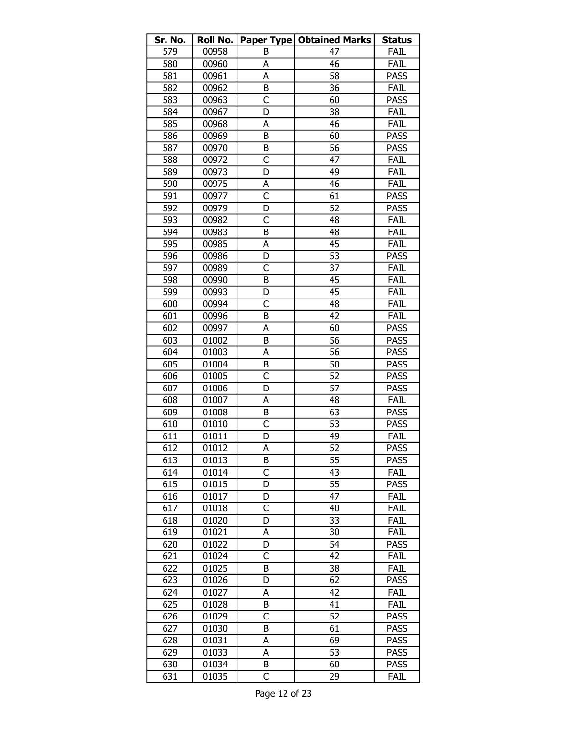| Sr. No. | Roll No. |                         | Paper Type   Obtained Marks | <b>Status</b> |
|---------|----------|-------------------------|-----------------------------|---------------|
| 579     | 00958    | B                       | 47                          | FAIL          |
| 580     | 00960    | A                       | 46                          | FAIL          |
| 581     | 00961    | A                       | 58                          | <b>PASS</b>   |
| 582     | 00962    | B                       | 36                          | FAIL          |
| 583     | 00963    | C                       | 60                          | <b>PASS</b>   |
| 584     | 00967    | D                       | 38                          | <b>FAIL</b>   |
| 585     | 00968    | A                       | 46                          | FAIL          |
| 586     | 00969    | B                       | 60                          | <b>PASS</b>   |
| 587     | 00970    | B                       | 56                          | <b>PASS</b>   |
| 588     | 00972    | C                       | 47                          | FAIL          |
| 589     | 00973    | D                       | 49                          | FAIL          |
| 590     | 00975    | А                       | 46                          | FAIL          |
| 591     | 00977    | C                       | 61                          | <b>PASS</b>   |
| 592     | 00979    | D                       | 52                          | <b>PASS</b>   |
| 593     | 00982    | C                       | 48                          | FAIL          |
| 594     | 00983    | B                       | 48                          | FAIL          |
| 595     | 00985    | Α                       | 45                          | FAIL          |
| 596     | 00986    | D                       | 53                          | <b>PASS</b>   |
| 597     | 00989    | $\overline{\mathsf{C}}$ | 37                          | FAIL          |
| 598     | 00990    | B                       | 45                          | FAIL          |
| 599     | 00993    | D                       | 45                          | FAIL          |
| 600     | 00994    | C                       | 48                          | FAIL          |
| 601     | 00996    | B                       | 42                          | FAIL          |
| 602     | 00997    | A                       | 60                          | <b>PASS</b>   |
| 603     | 01002    | B                       | 56                          | <b>PASS</b>   |
| 604     | 01003    | А                       | 56                          | <b>PASS</b>   |
| 605     | 01004    | B                       | 50                          | <b>PASS</b>   |
| 606     | 01005    | C                       | 52                          | <b>PASS</b>   |
| 607     | 01006    | D                       | 57                          | <b>PASS</b>   |
| 608     | 01007    | А                       | 48                          | FAIL          |
| 609     | 01008    | B                       | 63                          | <b>PASS</b>   |
| 610     | 01010    | C                       | 53                          | <b>PASS</b>   |
| 611     | 01011    | D                       | 49                          | FAIL          |
| 612     | 01012    | A                       | $\overline{52}$             | <b>PASS</b>   |
| 613     | 01013    | B                       | 55                          | <b>PASS</b>   |
| 614     | 01014    | C                       | 43                          | FAIL          |
| 615     | 01015    | D                       | 55                          | <b>PASS</b>   |
| 616     | 01017    | D                       | 47                          | FAIL          |
| 617     | 01018    | C                       | 40                          | FAIL          |
| 618     | 01020    | D                       | 33                          | FAIL          |
| 619     | 01021    | А                       | 30                          | FAIL          |
| 620     | 01022    | D                       | 54                          | <b>PASS</b>   |
| 621     | 01024    | C                       | 42                          | FAIL          |
| 622     | 01025    | B                       | 38                          | FAIL          |
| 623     | 01026    | D                       | 62                          | <b>PASS</b>   |
| 624     | 01027    | А                       | 42                          | FAIL          |
| 625     | 01028    | B                       | 41                          | FAIL          |
| 626     | 01029    | $\overline{\mathsf{C}}$ | 52                          | <b>PASS</b>   |
| 627     | 01030    | B                       | 61                          | <b>PASS</b>   |
| 628     | 01031    | A                       | 69                          | <b>PASS</b>   |
| 629     | 01033    | A                       | 53                          | <b>PASS</b>   |
| 630     | 01034    | B                       | 60                          | <b>PASS</b>   |
| 631     | 01035    | C                       | 29                          | FAIL          |
|         |          |                         |                             |               |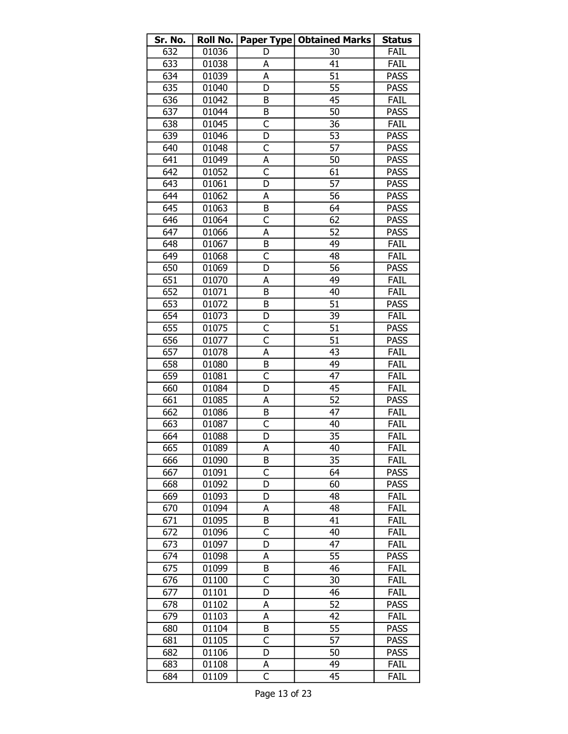| Sr. No. | Roll No. |                         | Paper Type   Obtained Marks | <b>Status</b> |
|---------|----------|-------------------------|-----------------------------|---------------|
| 632     | 01036    | D                       | 30                          | FAIL          |
| 633     | 01038    | А                       | 41                          | FAIL          |
| 634     | 01039    | A                       | $\overline{51}$             | <b>PASS</b>   |
| 635     | 01040    | D                       | 55                          | <b>PASS</b>   |
| 636     | 01042    | B                       | 45                          | FAIL          |
| 637     | 01044    | B                       | 50                          | <b>PASS</b>   |
| 638     | 01045    | C                       | 36                          | FAIL          |
| 639     | 01046    | D                       | 53                          | <b>PASS</b>   |
| 640     | 01048    | C                       | 57                          | <b>PASS</b>   |
| 641     | 01049    | А                       | 50                          | <b>PASS</b>   |
| 642     | 01052    | $\overline{\mathsf{C}}$ | 61                          | <b>PASS</b>   |
| 643     | 01061    | D                       | 57                          | <b>PASS</b>   |
| 644     | 01062    | А                       | 56                          | <b>PASS</b>   |
| 645     | 01063    | B                       | 64                          | <b>PASS</b>   |
| 646     | 01064    | C                       | 62                          | <b>PASS</b>   |
| 647     | 01066    | A                       | 52                          | <b>PASS</b>   |
| 648     | 01067    | B                       | 49                          | FAIL          |
| 649     | 01068    | C                       | 48                          | FAIL          |
| 650     | 01069    | D                       | 56                          | <b>PASS</b>   |
| 651     | 01070    | A                       | 49                          | FAIL          |
| 652     | 01071    | B                       | 40                          | FAIL          |
| 653     | 01072    | B                       | 51                          | <b>PASS</b>   |
| 654     | 01073    | D                       | 39                          | FAIL          |
| 655     | 01075    | C                       | 51                          | <b>PASS</b>   |
| 656     | 01077    | C                       | 51                          | <b>PASS</b>   |
| 657     |          |                         | 43                          | FAIL          |
|         | 01078    | Α                       |                             |               |
| 658     | 01080    | B                       | 49<br>47                    | FAIL          |
| 659     | 01081    | C                       |                             | FAIL          |
| 660     | 01084    | D                       | 45                          | FAIL          |
| 661     | 01085    | А                       | 52                          | <b>PASS</b>   |
| 662     | 01086    | B                       | 47                          | FAIL          |
| 663     | 01087    | C                       | 40                          | FAIL          |
| 664     | 01088    | D                       | 35                          | <b>FAIL</b>   |
| 665     | 01089    | A                       | 40                          | FAIL          |
| 666     | 01090    | B                       | 35                          | Fail          |
| 667     | 01091    | C                       | 64                          | <b>PASS</b>   |
| 668     | 01092    | D                       | 60                          | <b>PASS</b>   |
| 669     | 01093    | D                       | 48                          | FAIL          |
| 670     | 01094    | A                       | 48                          | FAIL          |
| 671     | 01095    | B                       | 41                          | FAIL          |
| 672     | 01096    | C                       | 40                          | FAIL          |
| 673     | 01097    | D                       | 47                          | FAIL          |
| 674     | 01098    | А                       | 55                          | <b>PASS</b>   |
| 675     | 01099    | B                       | 46                          | FAIL          |
| 676     | 01100    | C                       | 30                          | FAIL          |
| 677     | 01101    | D                       | 46                          | FAIL          |
| 678     | 01102    | А                       | 52                          | <b>PASS</b>   |
| 679     | 01103    | A                       | 42                          | FAIL          |
| 680     | 01104    | B                       | 55                          | <b>PASS</b>   |
| 681     | 01105    | C                       | 57                          | <b>PASS</b>   |
| 682     | 01106    | D                       | 50                          | <b>PASS</b>   |
| 683     | 01108    | А                       | 49                          | FAIL          |
| 684     | 01109    | $\overline{\mathsf{C}}$ | 45                          | FAIL          |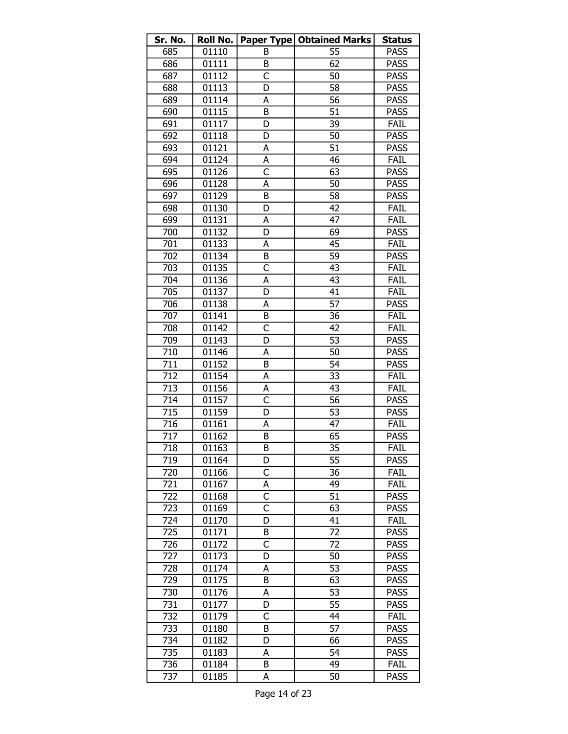| Sr. No. | Roll No. |                         | <b>Paper Type   Obtained Marks</b> | <b>Status</b> |
|---------|----------|-------------------------|------------------------------------|---------------|
| 685     | 01110    | B                       | 55                                 | <b>PASS</b>   |
| 686     | 01111    | B                       | 62                                 | <b>PASS</b>   |
| 687     | 01112    | C                       | 50                                 | <b>PASS</b>   |
| 688     | 01113    | D                       | 58                                 | <b>PASS</b>   |
| 689     | 01114    | А                       | $\overline{56}$                    | <b>PASS</b>   |
| 690     | 01115    | B                       | 51                                 | <b>PASS</b>   |
| 691     | 01117    | D                       | 39                                 | FAIL          |
| 692     | 01118    | D                       | 50                                 | <b>PASS</b>   |
| 693     | 01121    | А                       | 51                                 | <b>PASS</b>   |
| 694     | 01124    | А                       | 46                                 | FAIL          |
| 695     | 01126    | $\overline{\mathsf{C}}$ | 63                                 | <b>PASS</b>   |
| 696     | 01128    | А                       | 50                                 | <b>PASS</b>   |
| 697     | 01129    | B                       | 58                                 | <b>PASS</b>   |
| 698     | 01130    | D                       | 42                                 | <b>FAIL</b>   |
| 699     | 01131    | A                       | 47                                 | FAIL          |
| 700     | 01132    | D                       | 69                                 | <b>PASS</b>   |
| 701     | 01133    | А                       | 45                                 | FAIL          |
| 702     | 01134    | B                       | 59                                 | <b>PASS</b>   |
| 703     | 01135    | $\overline{\mathsf{C}}$ | 43                                 | FAIL          |
| 704     | 01136    | A                       | 43                                 | FAIL          |
| 705     | 01137    | D                       | 41                                 | FAIL          |
| 706     | 01138    | А                       | 57                                 | <b>PASS</b>   |
| 707     | 01141    | B                       | 36                                 | FAIL          |
| 708     | 01142    | $\overline{\mathsf{C}}$ | 42                                 | FAIL          |
| 709     | 01143    | D                       | 53                                 | <b>PASS</b>   |
| 710     | 01146    | A                       | 50                                 | <b>PASS</b>   |
| 711     | 01152    | B                       | 54                                 | <b>PASS</b>   |
| 712     | 01154    | A                       | $\overline{33}$                    | FAIL          |
| 713     | 01156    | A                       | 43                                 | FAIL          |
| 714     | 01157    | $\overline{\mathsf{C}}$ | 56                                 | <b>PASS</b>   |
| 715     | 01159    | D                       | 53                                 | <b>PASS</b>   |
| 716     | 01161    | А                       | 47                                 | FAIL          |
| 717     | 01162    | B                       | 65                                 | <b>PASS</b>   |
| 718     | 01163    | B                       | $\overline{35}$                    | FAIL          |
| 719     | 01164    | D                       | 55                                 | <b>PASS</b>   |
| 720     | 01166    | C                       | 36                                 | FAIL          |
| 721     | 01167    | А                       | 49                                 | FAIL          |
| 722     | 01168    | $\overline{C}$          | 51                                 | <b>PASS</b>   |
| 723     | 01169    | C                       | 63                                 | <b>PASS</b>   |
| 724     | 01170    | D                       | 41                                 | FAIL          |
| 725     | 01171    | B                       | 72                                 | <b>PASS</b>   |
| 726     | 01172    | C                       | 72                                 | <b>PASS</b>   |
| 727     | 01173    | D                       | 50                                 | <b>PASS</b>   |
| 728     | 01174    | А                       | 53                                 | <b>PASS</b>   |
| 729     | 01175    | B                       | 63                                 | <b>PASS</b>   |
| 730     | 01176    | А                       | 53                                 | <b>PASS</b>   |
| 731     | 01177    | D                       | 55                                 | <b>PASS</b>   |
| 732     | 01179    | C                       | 44                                 | FAIL          |
| 733     | 01180    | B                       | 57                                 | <b>PASS</b>   |
| 734     | 01182    | D                       | 66                                 | <b>PASS</b>   |
| 735     | 01183    | A                       | 54                                 | <b>PASS</b>   |
| 736     | 01184    | B                       | 49                                 | FAIL          |
| 737     | 01185    | А                       | 50                                 | <b>PASS</b>   |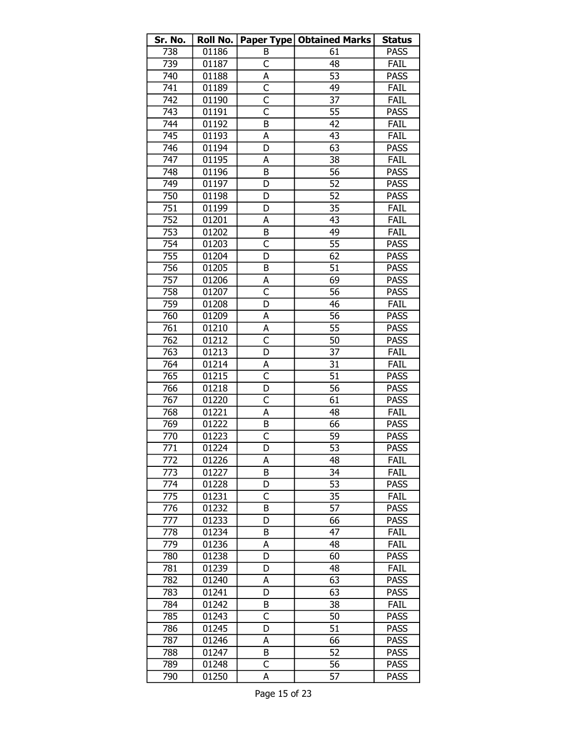| Sr. No.          | Roll No. |                         | <b>Paper Type   Obtained Marks</b> | <b>Status</b> |
|------------------|----------|-------------------------|------------------------------------|---------------|
| 738              | 01186    | B                       | 61                                 | <b>PASS</b>   |
| 739              | 01187    | C                       | 48                                 | FAIL          |
| 740              | 01188    | А                       | 53                                 | <b>PASS</b>   |
| 741              | 01189    | $\overline{\mathsf{C}}$ | 49                                 | <b>FAIL</b>   |
| $\overline{7}42$ | 01190    | $\overline{\mathsf{C}}$ | 37                                 | FAIL          |
| 743              | 01191    | C                       | 55                                 | <b>PASS</b>   |
| 744              | 01192    | B                       | 42                                 | <b>FAIL</b>   |
| 745              | 01193    | А                       | 43                                 | FAIL          |
| 746              | 01194    | D                       | 63                                 | <b>PASS</b>   |
| 747              | 01195    | А                       | 38                                 | FAIL          |
| 748              | 01196    | B                       | 56                                 | <b>PASS</b>   |
| 749              | 01197    | D                       | 52                                 | <b>PASS</b>   |
| 750              | 01198    | D                       | 52                                 | <b>PASS</b>   |
| $\overline{751}$ | 01199    | D                       | 35                                 | <b>FAIL</b>   |
| $\overline{752}$ | 01201    | A                       | 43                                 | FAIL          |
| 753              | 01202    | B                       | 49                                 | FAIL          |
| 754              | 01203    | C                       | 55                                 | <b>PASS</b>   |
| 755              | 01204    | D                       | 62                                 | <b>PASS</b>   |
| 756              | 01205    | B                       | 51                                 | <b>PASS</b>   |
| 757              | 01206    | A                       | 69                                 | <b>PASS</b>   |
| 758              | 01207    | $\overline{\mathsf{C}}$ | 56                                 | <b>PASS</b>   |
| 759              | 01208    | D                       | 46                                 | <b>FAIL</b>   |
| 760              | 01209    | A                       | 56                                 | <b>PASS</b>   |
| 761              | 01210    | А                       | 55                                 | <b>PASS</b>   |
| 762              | 01212    | $\overline{\mathsf{c}}$ | 50                                 | <b>PASS</b>   |
| 763              | 01213    | D                       | 37                                 | FAIL          |
| 764              | 01214    | А                       | 31                                 | FAIL          |
| 765              | 01215    | $\overline{\mathsf{C}}$ | $\overline{51}$                    | <b>PASS</b>   |
| 766              | 01218    | D                       | 56                                 | <b>PASS</b>   |
| 767              | 01220    | $\overline{\mathsf{C}}$ | 61                                 | <b>PASS</b>   |
| 768              | 01221    | А                       | 48                                 | FAIL          |
| 769              | 01222    | B                       | 66                                 | <b>PASS</b>   |
| 770              | 01223    | $\overline{\mathsf{C}}$ | 59                                 | <b>PASS</b>   |
| $\overline{771}$ | 01224    | D                       | $\overline{53}$                    | <b>PASS</b>   |
| 772              | 01226    | А                       | 48                                 | Fail          |
| 773              | 01227    | B                       | 34                                 | FAIL          |
| 774              | 01228    | D                       | 53                                 | <b>PASS</b>   |
| 775              | 01231    | C                       | 35                                 | FAIL          |
| 776              | 01232    | B                       | 57                                 | <b>PASS</b>   |
| 777              | 01233    | D                       | 66                                 | <b>PASS</b>   |
| 778              | 01234    | B                       | 47                                 | FAIL          |
| 779              | 01236    | А                       | 48                                 | FAIL          |
| 780              | 01238    | D                       | 60                                 | <b>PASS</b>   |
| 781              | 01239    | D                       | 48                                 | FAIL          |
| 782              | 01240    | А                       | 63                                 | <b>PASS</b>   |
| 783              | 01241    | D                       | 63                                 | <b>PASS</b>   |
| 784              | 01242    | В                       | 38                                 | FAIL          |
| 785              | 01243    | $\overline{\mathsf{c}}$ | 50                                 | <b>PASS</b>   |
| 786              | 01245    | D                       | 51                                 | <b>PASS</b>   |
| 787              | 01246    | A                       | 66                                 | <b>PASS</b>   |
| 788              | 01247    | B                       | 52                                 | <b>PASS</b>   |
| 789              | 01248    | C                       | 56                                 | <b>PASS</b>   |
| 790              | 01250    | А                       | 57                                 | <b>PASS</b>   |
|                  |          |                         |                                    |               |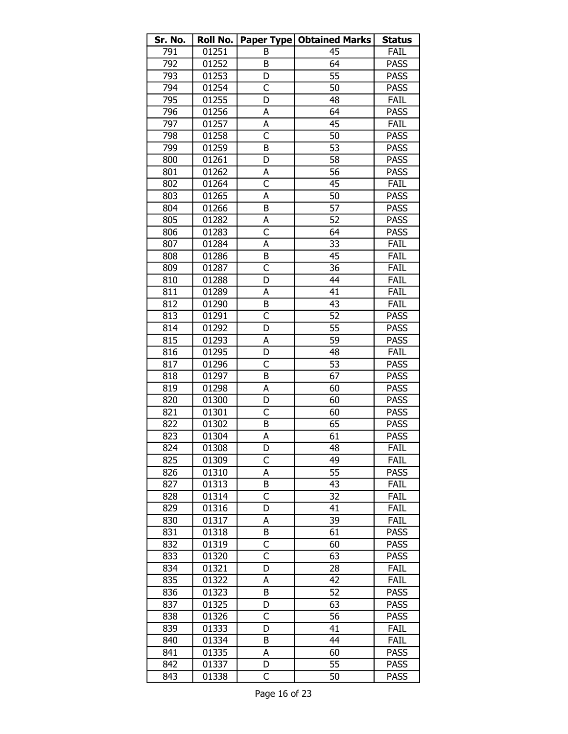| Sr. No. | Roll No. |                         | Paper Type   Obtained Marks | <b>Status</b> |
|---------|----------|-------------------------|-----------------------------|---------------|
| 791     | 01251    | В                       | 45                          | FAIL          |
| 792     | 01252    | B                       | 64                          | <b>PASS</b>   |
| 793     | 01253    | D                       | 55                          | <b>PASS</b>   |
| 794     | 01254    | $\overline{C}$          | 50                          | <b>PASS</b>   |
| 795     | 01255    | D                       | 48                          | FAIL          |
| 796     | 01256    | А                       | 64                          | <b>PASS</b>   |
| 797     | 01257    | A                       | 45                          | <b>FAIL</b>   |
| 798     | 01258    | $\overline{\mathsf{C}}$ | 50                          | <b>PASS</b>   |
| 799     | 01259    | B                       | 53                          | <b>PASS</b>   |
| 800     | 01261    | D                       | 58                          | <b>PASS</b>   |
| 801     | 01262    | А                       | 56                          | <b>PASS</b>   |
| 802     | 01264    | $\overline{\mathsf{C}}$ | 45                          | <b>FAIL</b>   |
| 803     | 01265    | А                       | 50                          | <b>PASS</b>   |
| 804     | 01266    | B                       | 57                          | <b>PASS</b>   |
| 805     | 01282    | А                       | 52                          | <b>PASS</b>   |
| 806     | 01283    | C                       | 64                          | <b>PASS</b>   |
| 807     | 01284    | Α                       | 33                          | FAIL          |
| 808     | 01286    | B                       | 45                          | FAIL          |
| 809     | 01287    | $\overline{\mathsf{C}}$ | 36                          | FAIL          |
| 810     | 01288    | D                       | 44                          | FAIL          |
| 811     | 01289    | А                       | 41                          | FAIL          |
| 812     | 01290    | B                       | 43                          | <b>FAIL</b>   |
| 813     | 01291    | $\overline{\mathsf{C}}$ | 52                          | <b>PASS</b>   |
| 814     | 01292    | D                       | 55                          | <b>PASS</b>   |
| 815     | 01293    | A                       | 59                          | <b>PASS</b>   |
| 816     | 01295    | D                       | 48                          | FAIL          |
| 817     | 01296    | C                       | 53                          | <b>PASS</b>   |
| 818     | 01297    | B                       | 67                          | <b>PASS</b>   |
| 819     | 01298    | A                       | 60                          | <b>PASS</b>   |
| 820     | 01300    | D                       | 60                          | <b>PASS</b>   |
| 821     | 01301    | C                       | 60                          | <b>PASS</b>   |
| 822     | 01302    | B                       | 65                          | <b>PASS</b>   |
| 823     | 01304    | A                       | 61                          | <b>PASS</b>   |
| 824     | 01308    | D                       | 48                          | FAIL          |
| 825     | 01309    | C                       | 49                          | FAIL          |
| 826     | 01310    | А                       | 55                          | <b>PASS</b>   |
| 827     | 01313    | B                       | 43                          | FAIL          |
| 828     | 01314    | C                       | 32                          | FAIL          |
| 829     | 01316    | D                       | 41                          | FAIL          |
| 830     | 01317    | A                       | 39                          | FAIL          |
| 831     | 01318    | B                       | 61                          | <b>PASS</b>   |
| 832     | 01319    | C                       | 60                          | <b>PASS</b>   |
| 833     | 01320    | C                       | 63                          | <b>PASS</b>   |
| 834     | 01321    | D                       | 28                          | FAIL          |
| 835     | 01322    | A                       | 42                          | FAIL          |
| 836     | 01323    | B                       | 52                          | <b>PASS</b>   |
| 837     | 01325    | D                       | 63                          | <b>PASS</b>   |
| 838     | 01326    | C                       | 56                          | <b>PASS</b>   |
| 839     | 01333    | D                       | 41                          | FAIL          |
| 840     | 01334    | В                       | 44                          | FAIL          |
| 841     | 01335    | А                       | 60                          | <b>PASS</b>   |
| 842     | 01337    | D                       | 55                          | <b>PASS</b>   |
| 843     | 01338    | C                       | 50                          | <b>PASS</b>   |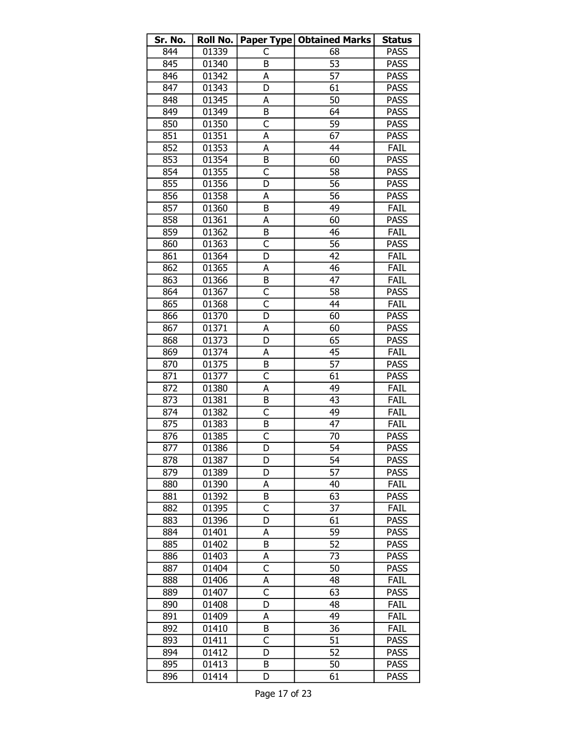| Sr. No.          | Roll No. |                         | Paper Type   Obtained Marks | <b>Status</b> |
|------------------|----------|-------------------------|-----------------------------|---------------|
| 844              | 01339    | C                       | 68                          | <b>PASS</b>   |
| 845              | 01340    | B                       | 53                          | <b>PASS</b>   |
| 846              | 01342    | А                       | $\overline{57}$             | <b>PASS</b>   |
| 847              | 01343    | D                       | 61                          | <b>PASS</b>   |
| 848              | 01345    | А                       | 50                          | <b>PASS</b>   |
| 849              | 01349    | B                       | 64                          | <b>PASS</b>   |
| 850              | 01350    | C                       | 59                          | <b>PASS</b>   |
| 851              | 01351    | A                       | 67                          | <b>PASS</b>   |
| 852              | 01353    | A                       | 44                          | FAIL          |
| 853              | 01354    | B                       | 60                          | <b>PASS</b>   |
| 854              | 01355    | $\mathsf{C}$            | 58                          | <b>PASS</b>   |
| 855              | 01356    | D                       | 56                          | <b>PASS</b>   |
| 856              | 01358    | А                       | 56                          | <b>PASS</b>   |
| 857              | 01360    | B                       | 49                          | <b>FAIL</b>   |
| 858              | 01361    | А                       | 60                          | <b>PASS</b>   |
| 859              | 01362    | B                       | 46                          | FAIL          |
| 860              | 01363    | $\overline{\mathsf{c}}$ | 56                          | <b>PASS</b>   |
| 861              | 01364    | D                       | 42                          | FAIL          |
| 862              | 01365    | A                       | 46                          | FAIL          |
| 863              | 01366    | B                       | 47                          | FAIL          |
| 864              | 01367    | $\overline{\mathsf{C}}$ | 58                          | <b>PASS</b>   |
| 865              | 01368    | $\overline{\mathsf{C}}$ | 44                          | FAIL          |
| 866              | 01370    | D                       | 60                          | <b>PASS</b>   |
| $\overline{867}$ | 01371    | А                       | 60                          | <b>PASS</b>   |
| 868              | 01373    | D                       | 65                          | <b>PASS</b>   |
| 869              | 01374    | А                       | 45                          | FAIL          |
| 870              | 01375    | B                       | 57                          | <b>PASS</b>   |
| 871              | 01377    | C                       | 61                          | <b>PASS</b>   |
| 872              | 01380    | А                       | 49                          | FAIL          |
| 873              | 01381    | B                       | 43                          | FAIL          |
| 874              | 01382    | C                       | 49                          | FAIL          |
| 875              | 01383    | B                       | 47                          | FAIL          |
| 876              | 01385    | C                       | 70                          | <b>PASS</b>   |
| $\sqrt{877}$     | 01386    | D                       | $\overline{54}$             | <b>PASS</b>   |
| 878              | 01387    | D                       | 54                          | <b>PASS</b>   |
| 879              | 01389    | D                       | 57                          | <b>PASS</b>   |
| 880              | 01390    | А                       | 40                          | FAIL          |
| 881              | 01392    | B                       | 63                          | <b>PASS</b>   |
| 882              | 01395    | C                       | 37                          | FAIL          |
| 883              | 01396    | D                       | 61                          | <b>PASS</b>   |
| 884              | 01401    | А                       | 59                          | <b>PASS</b>   |
| 885              | 01402    | В                       | 52                          | <b>PASS</b>   |
| 886              | 01403    | А                       | 73                          | <b>PASS</b>   |
| 887              | 01404    | C                       | 50                          | <b>PASS</b>   |
| 888              | 01406    | А                       | 48                          | FAIL          |
| 889              | 01407    | C                       | 63                          | <b>PASS</b>   |
| 890              | 01408    | D                       | 48                          | FAIL          |
| 891              | 01409    | А                       | 49                          | FAIL          |
| 892              | 01410    | B                       | 36                          | FAIL          |
| 893              | 01411    | C                       | 51                          | <b>PASS</b>   |
| 894              | 01412    | D                       | 52                          | <b>PASS</b>   |
| 895              | 01413    | B                       | 50                          | <b>PASS</b>   |
| 896              | 01414    | D                       | 61                          | <b>PASS</b>   |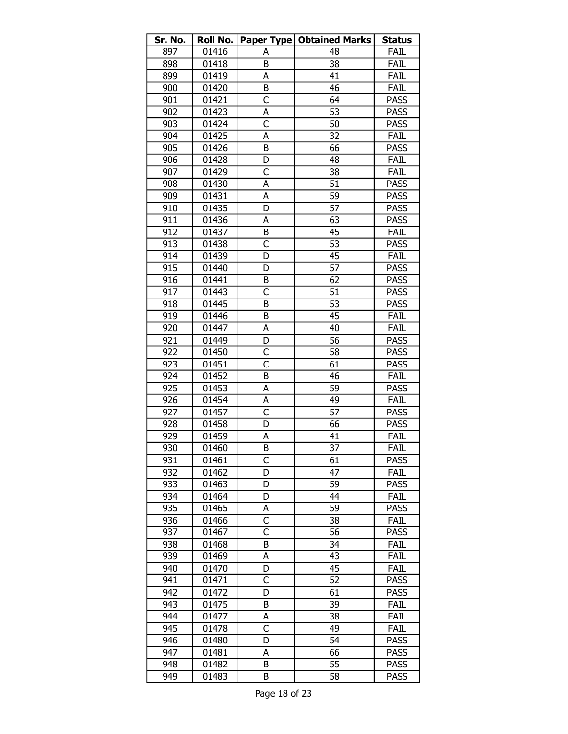| Paper Type   Obtained Marks<br>01416<br>FAIL<br>897<br>48<br>А<br>38<br>898<br>01418<br>FAIL<br>B<br>FAIL<br>899<br>01419<br>41<br>А<br>46<br>900<br>01420<br>B<br>FAIL<br>$\overline{\mathsf{C}}$<br>901<br>64<br><b>PASS</b><br>01421<br>902<br>А<br>53<br>01423<br><b>PASS</b><br>$\overline{\mathsf{C}}$<br>903<br>01424<br>50<br><b>PASS</b><br>32<br>904<br>01425<br>A<br><b>FAIL</b><br>905<br>66<br><b>PASS</b><br>01426<br>B<br>906<br>FAIL<br>01428<br>48<br>D<br>C<br>38<br>907<br>01429<br>FAIL<br>908<br>А<br>51<br><b>PASS</b><br>01430<br>59<br>909<br>01431<br><b>PASS</b><br>А<br>57<br><b>PASS</b><br>910<br>01435<br>D<br>63<br><b>PASS</b><br>911<br>01436<br>А<br>912<br>FAIL<br>01437<br>B<br>45<br>913<br>01438<br>C<br>53<br><b>PASS</b><br>D<br>914<br>01439<br>45<br>FAIL<br>57<br>915<br>D<br><b>PASS</b><br>01440<br>62<br><b>PASS</b><br>916<br>01441<br>B<br>C<br>51<br><b>PASS</b><br>917<br>01443<br>53<br>918<br>01445<br>B<br><b>PASS</b><br>919<br>45<br>FAIL<br>01446<br>B<br>920<br>01447<br>40<br>FAIL<br>А<br>D<br>56<br>921<br>01449<br><b>PASS</b><br>922<br>01450<br>C<br>58<br><b>PASS</b><br>Ċ<br><b>PASS</b><br>923<br>01451<br>61<br>01452<br>FAIL<br>924<br>B<br>46<br>925<br>59<br>01453<br>A<br><b>PASS</b><br>926<br>01454<br>49<br>FAIL<br>А<br>C<br>57<br>927<br>01457<br><b>PASS</b><br>66<br>928<br>01458<br>D<br><b>PASS</b><br>929<br>01459<br>А<br>41<br>FAIL |
|------------------------------------------------------------------------------------------------------------------------------------------------------------------------------------------------------------------------------------------------------------------------------------------------------------------------------------------------------------------------------------------------------------------------------------------------------------------------------------------------------------------------------------------------------------------------------------------------------------------------------------------------------------------------------------------------------------------------------------------------------------------------------------------------------------------------------------------------------------------------------------------------------------------------------------------------------------------------------------------------------------------------------------------------------------------------------------------------------------------------------------------------------------------------------------------------------------------------------------------------------------------------------------------------------------------------------------------------------------------------------------------------------------------------|
|                                                                                                                                                                                                                                                                                                                                                                                                                                                                                                                                                                                                                                                                                                                                                                                                                                                                                                                                                                                                                                                                                                                                                                                                                                                                                                                                                                                                                        |
|                                                                                                                                                                                                                                                                                                                                                                                                                                                                                                                                                                                                                                                                                                                                                                                                                                                                                                                                                                                                                                                                                                                                                                                                                                                                                                                                                                                                                        |
|                                                                                                                                                                                                                                                                                                                                                                                                                                                                                                                                                                                                                                                                                                                                                                                                                                                                                                                                                                                                                                                                                                                                                                                                                                                                                                                                                                                                                        |
|                                                                                                                                                                                                                                                                                                                                                                                                                                                                                                                                                                                                                                                                                                                                                                                                                                                                                                                                                                                                                                                                                                                                                                                                                                                                                                                                                                                                                        |
|                                                                                                                                                                                                                                                                                                                                                                                                                                                                                                                                                                                                                                                                                                                                                                                                                                                                                                                                                                                                                                                                                                                                                                                                                                                                                                                                                                                                                        |
|                                                                                                                                                                                                                                                                                                                                                                                                                                                                                                                                                                                                                                                                                                                                                                                                                                                                                                                                                                                                                                                                                                                                                                                                                                                                                                                                                                                                                        |
|                                                                                                                                                                                                                                                                                                                                                                                                                                                                                                                                                                                                                                                                                                                                                                                                                                                                                                                                                                                                                                                                                                                                                                                                                                                                                                                                                                                                                        |
|                                                                                                                                                                                                                                                                                                                                                                                                                                                                                                                                                                                                                                                                                                                                                                                                                                                                                                                                                                                                                                                                                                                                                                                                                                                                                                                                                                                                                        |
|                                                                                                                                                                                                                                                                                                                                                                                                                                                                                                                                                                                                                                                                                                                                                                                                                                                                                                                                                                                                                                                                                                                                                                                                                                                                                                                                                                                                                        |
|                                                                                                                                                                                                                                                                                                                                                                                                                                                                                                                                                                                                                                                                                                                                                                                                                                                                                                                                                                                                                                                                                                                                                                                                                                                                                                                                                                                                                        |
|                                                                                                                                                                                                                                                                                                                                                                                                                                                                                                                                                                                                                                                                                                                                                                                                                                                                                                                                                                                                                                                                                                                                                                                                                                                                                                                                                                                                                        |
|                                                                                                                                                                                                                                                                                                                                                                                                                                                                                                                                                                                                                                                                                                                                                                                                                                                                                                                                                                                                                                                                                                                                                                                                                                                                                                                                                                                                                        |
|                                                                                                                                                                                                                                                                                                                                                                                                                                                                                                                                                                                                                                                                                                                                                                                                                                                                                                                                                                                                                                                                                                                                                                                                                                                                                                                                                                                                                        |
|                                                                                                                                                                                                                                                                                                                                                                                                                                                                                                                                                                                                                                                                                                                                                                                                                                                                                                                                                                                                                                                                                                                                                                                                                                                                                                                                                                                                                        |
|                                                                                                                                                                                                                                                                                                                                                                                                                                                                                                                                                                                                                                                                                                                                                                                                                                                                                                                                                                                                                                                                                                                                                                                                                                                                                                                                                                                                                        |
|                                                                                                                                                                                                                                                                                                                                                                                                                                                                                                                                                                                                                                                                                                                                                                                                                                                                                                                                                                                                                                                                                                                                                                                                                                                                                                                                                                                                                        |
|                                                                                                                                                                                                                                                                                                                                                                                                                                                                                                                                                                                                                                                                                                                                                                                                                                                                                                                                                                                                                                                                                                                                                                                                                                                                                                                                                                                                                        |
|                                                                                                                                                                                                                                                                                                                                                                                                                                                                                                                                                                                                                                                                                                                                                                                                                                                                                                                                                                                                                                                                                                                                                                                                                                                                                                                                                                                                                        |
|                                                                                                                                                                                                                                                                                                                                                                                                                                                                                                                                                                                                                                                                                                                                                                                                                                                                                                                                                                                                                                                                                                                                                                                                                                                                                                                                                                                                                        |
|                                                                                                                                                                                                                                                                                                                                                                                                                                                                                                                                                                                                                                                                                                                                                                                                                                                                                                                                                                                                                                                                                                                                                                                                                                                                                                                                                                                                                        |
|                                                                                                                                                                                                                                                                                                                                                                                                                                                                                                                                                                                                                                                                                                                                                                                                                                                                                                                                                                                                                                                                                                                                                                                                                                                                                                                                                                                                                        |
|                                                                                                                                                                                                                                                                                                                                                                                                                                                                                                                                                                                                                                                                                                                                                                                                                                                                                                                                                                                                                                                                                                                                                                                                                                                                                                                                                                                                                        |
|                                                                                                                                                                                                                                                                                                                                                                                                                                                                                                                                                                                                                                                                                                                                                                                                                                                                                                                                                                                                                                                                                                                                                                                                                                                                                                                                                                                                                        |
|                                                                                                                                                                                                                                                                                                                                                                                                                                                                                                                                                                                                                                                                                                                                                                                                                                                                                                                                                                                                                                                                                                                                                                                                                                                                                                                                                                                                                        |
|                                                                                                                                                                                                                                                                                                                                                                                                                                                                                                                                                                                                                                                                                                                                                                                                                                                                                                                                                                                                                                                                                                                                                                                                                                                                                                                                                                                                                        |
|                                                                                                                                                                                                                                                                                                                                                                                                                                                                                                                                                                                                                                                                                                                                                                                                                                                                                                                                                                                                                                                                                                                                                                                                                                                                                                                                                                                                                        |
|                                                                                                                                                                                                                                                                                                                                                                                                                                                                                                                                                                                                                                                                                                                                                                                                                                                                                                                                                                                                                                                                                                                                                                                                                                                                                                                                                                                                                        |
|                                                                                                                                                                                                                                                                                                                                                                                                                                                                                                                                                                                                                                                                                                                                                                                                                                                                                                                                                                                                                                                                                                                                                                                                                                                                                                                                                                                                                        |
|                                                                                                                                                                                                                                                                                                                                                                                                                                                                                                                                                                                                                                                                                                                                                                                                                                                                                                                                                                                                                                                                                                                                                                                                                                                                                                                                                                                                                        |
|                                                                                                                                                                                                                                                                                                                                                                                                                                                                                                                                                                                                                                                                                                                                                                                                                                                                                                                                                                                                                                                                                                                                                                                                                                                                                                                                                                                                                        |
|                                                                                                                                                                                                                                                                                                                                                                                                                                                                                                                                                                                                                                                                                                                                                                                                                                                                                                                                                                                                                                                                                                                                                                                                                                                                                                                                                                                                                        |
|                                                                                                                                                                                                                                                                                                                                                                                                                                                                                                                                                                                                                                                                                                                                                                                                                                                                                                                                                                                                                                                                                                                                                                                                                                                                                                                                                                                                                        |
|                                                                                                                                                                                                                                                                                                                                                                                                                                                                                                                                                                                                                                                                                                                                                                                                                                                                                                                                                                                                                                                                                                                                                                                                                                                                                                                                                                                                                        |
| 930<br>01460<br>B<br>37<br>FAIL                                                                                                                                                                                                                                                                                                                                                                                                                                                                                                                                                                                                                                                                                                                                                                                                                                                                                                                                                                                                                                                                                                                                                                                                                                                                                                                                                                                        |
| 01461<br>C<br>61<br><b>PASS</b><br>931                                                                                                                                                                                                                                                                                                                                                                                                                                                                                                                                                                                                                                                                                                                                                                                                                                                                                                                                                                                                                                                                                                                                                                                                                                                                                                                                                                                 |
| 01462<br>47<br>932<br>D<br>FAIL                                                                                                                                                                                                                                                                                                                                                                                                                                                                                                                                                                                                                                                                                                                                                                                                                                                                                                                                                                                                                                                                                                                                                                                                                                                                                                                                                                                        |
| 933<br>59<br>01463<br>D<br><b>PASS</b>                                                                                                                                                                                                                                                                                                                                                                                                                                                                                                                                                                                                                                                                                                                                                                                                                                                                                                                                                                                                                                                                                                                                                                                                                                                                                                                                                                                 |
| FAIL<br>934<br>01464<br>D<br>44                                                                                                                                                                                                                                                                                                                                                                                                                                                                                                                                                                                                                                                                                                                                                                                                                                                                                                                                                                                                                                                                                                                                                                                                                                                                                                                                                                                        |
| 59<br>935<br>01465<br><b>PASS</b><br>А                                                                                                                                                                                                                                                                                                                                                                                                                                                                                                                                                                                                                                                                                                                                                                                                                                                                                                                                                                                                                                                                                                                                                                                                                                                                                                                                                                                 |
| C<br>936<br>01466<br>38<br>FAIL                                                                                                                                                                                                                                                                                                                                                                                                                                                                                                                                                                                                                                                                                                                                                                                                                                                                                                                                                                                                                                                                                                                                                                                                                                                                                                                                                                                        |
| C<br><b>PASS</b><br>937<br>01467<br>56                                                                                                                                                                                                                                                                                                                                                                                                                                                                                                                                                                                                                                                                                                                                                                                                                                                                                                                                                                                                                                                                                                                                                                                                                                                                                                                                                                                 |
| 938<br>01468<br>34<br><b>FAIL</b><br>В                                                                                                                                                                                                                                                                                                                                                                                                                                                                                                                                                                                                                                                                                                                                                                                                                                                                                                                                                                                                                                                                                                                                                                                                                                                                                                                                                                                 |
| 939<br>01469<br>А<br>43<br>FAIL                                                                                                                                                                                                                                                                                                                                                                                                                                                                                                                                                                                                                                                                                                                                                                                                                                                                                                                                                                                                                                                                                                                                                                                                                                                                                                                                                                                        |
| 45<br>FAIL<br>940<br>01470<br>D                                                                                                                                                                                                                                                                                                                                                                                                                                                                                                                                                                                                                                                                                                                                                                                                                                                                                                                                                                                                                                                                                                                                                                                                                                                                                                                                                                                        |
| 941<br>52<br>01471<br><b>PASS</b><br>C                                                                                                                                                                                                                                                                                                                                                                                                                                                                                                                                                                                                                                                                                                                                                                                                                                                                                                                                                                                                                                                                                                                                                                                                                                                                                                                                                                                 |
| 942<br>01472<br>D<br>61<br><b>PASS</b>                                                                                                                                                                                                                                                                                                                                                                                                                                                                                                                                                                                                                                                                                                                                                                                                                                                                                                                                                                                                                                                                                                                                                                                                                                                                                                                                                                                 |
| 943<br>01475<br>39<br>FAIL<br>В                                                                                                                                                                                                                                                                                                                                                                                                                                                                                                                                                                                                                                                                                                                                                                                                                                                                                                                                                                                                                                                                                                                                                                                                                                                                                                                                                                                        |
| 944<br>FAIL<br>01477<br>А<br>38                                                                                                                                                                                                                                                                                                                                                                                                                                                                                                                                                                                                                                                                                                                                                                                                                                                                                                                                                                                                                                                                                                                                                                                                                                                                                                                                                                                        |
| 945<br>C<br>01478<br>49<br>FAIL                                                                                                                                                                                                                                                                                                                                                                                                                                                                                                                                                                                                                                                                                                                                                                                                                                                                                                                                                                                                                                                                                                                                                                                                                                                                                                                                                                                        |
| D<br>54<br><b>PASS</b><br>946<br>01480                                                                                                                                                                                                                                                                                                                                                                                                                                                                                                                                                                                                                                                                                                                                                                                                                                                                                                                                                                                                                                                                                                                                                                                                                                                                                                                                                                                 |
| 947<br>01481<br>66<br><b>PASS</b><br>A                                                                                                                                                                                                                                                                                                                                                                                                                                                                                                                                                                                                                                                                                                                                                                                                                                                                                                                                                                                                                                                                                                                                                                                                                                                                                                                                                                                 |
| 948<br>55<br><b>PASS</b><br>01482<br>B                                                                                                                                                                                                                                                                                                                                                                                                                                                                                                                                                                                                                                                                                                                                                                                                                                                                                                                                                                                                                                                                                                                                                                                                                                                                                                                                                                                 |
| 949<br>58<br>01483<br><b>PASS</b><br>В                                                                                                                                                                                                                                                                                                                                                                                                                                                                                                                                                                                                                                                                                                                                                                                                                                                                                                                                                                                                                                                                                                                                                                                                                                                                                                                                                                                 |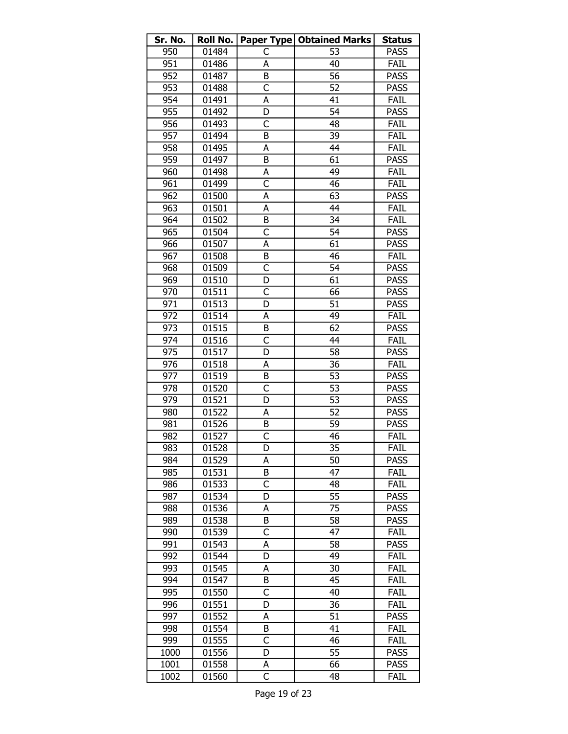| Sr. No. | Roll No. |                         | Paper Type   Obtained Marks | <b>Status</b> |
|---------|----------|-------------------------|-----------------------------|---------------|
| 950     | 01484    | C                       | 53                          | <b>PASS</b>   |
| 951     | 01486    | A                       | 40                          | FAIL          |
| 952     | 01487    | B                       | 56                          | <b>PASS</b>   |
| 953     | 01488    | $\overline{C}$          | 52                          | <b>PASS</b>   |
| 954     | 01491    | A                       | 41                          | FAIL          |
| 955     | 01492    | D                       | 54                          | <b>PASS</b>   |
| 956     | 01493    | C                       | 48                          | FAIL          |
| 957     | 01494    | B                       | 39                          | FAIL          |
| 958     | 01495    | A                       | 44                          | <b>FAIL</b>   |
| 959     | 01497    | B                       | 61                          | <b>PASS</b>   |
| 960     | 01498    | А                       | 49                          | FAIL          |
| 961     | 01499    | $\overline{\mathsf{C}}$ | 46                          | FAIL          |
| 962     | 01500    | А                       | 63                          | <b>PASS</b>   |
| 963     | 01501    | A                       | 44                          | FAIL          |
| 964     | 01502    | B                       | 34                          | FAIL          |
| 965     | 01504    | C                       | 54                          | <b>PASS</b>   |
| 966     | 01507    | Α                       | 61                          | <b>PASS</b>   |
| 967     | 01508    | B                       | 46                          | FAIL          |
| 968     | 01509    | $\overline{\mathsf{C}}$ | 54                          | <b>PASS</b>   |
| 969     | 01510    | D                       | 61                          | <b>PASS</b>   |
| 970     | 01511    | C                       | 66                          | <b>PASS</b>   |
| 971     | 01513    | D                       | 51                          | <b>PASS</b>   |
| 972     | 01514    | Α                       | 49                          | FAIL          |
| 973     | 01515    | B                       | 62                          | <b>PASS</b>   |
| 974     | 01516    | C                       | 44                          | <b>FAIL</b>   |
| 975     | 01517    | D                       | 58                          | <b>PASS</b>   |
| 976     | 01518    | А                       | 36                          | FAIL          |
| 977     | 01519    | B                       | 53                          | <b>PASS</b>   |
| 978     | 01520    | $\overline{C}$          | 53                          | <b>PASS</b>   |
| 979     | 01521    | D                       | 53                          | <b>PASS</b>   |
| 980     | 01522    | А                       | 52                          | <b>PASS</b>   |
| 981     | 01526    | B                       | 59                          | <b>PASS</b>   |
| 982     | 01527    | $\overline{\mathsf{C}}$ | 46                          | FAIL          |
| 983     | 01528    | D                       | 35                          | FAIL          |
| 984     | 01529    | А                       | 50                          | <b>PASS</b>   |
| 985     | 01531    | B                       | 47                          | <b>FAIL</b>   |
| 986     | 01533    | C                       | 48                          | FAIL          |
| 987     | 01534    | D                       | 55                          | <b>PASS</b>   |
| 988     | 01536    | A                       | 75                          | <b>PASS</b>   |
| 989     | 01538    | B                       | 58                          | <b>PASS</b>   |
| 990     | 01539    | C                       | 47                          | FAIL          |
| 991     | 01543    | А                       | 58                          | <b>PASS</b>   |
| 992     | 01544    | D                       | 49                          | FAIL          |
| 993     | 01545    | А                       | 30                          | FAIL          |
| 994     | 01547    | B                       | 45                          | FAIL          |
| 995     | 01550    | C                       | 40                          | FAIL          |
| 996     | 01551    | D                       | 36                          | FAIL          |
| 997     | 01552    | A                       | 51                          | <b>PASS</b>   |
| 998     | 01554    | B                       | 41                          | FAIL          |
| 999     | 01555    | C                       | 46                          | FAIL          |
| 1000    | 01556    | D                       | 55                          | <b>PASS</b>   |
| 1001    | 01558    | А                       | 66                          | <b>PASS</b>   |
| 1002    | 01560    | $\overline{\mathsf{C}}$ | 48                          | FAIL          |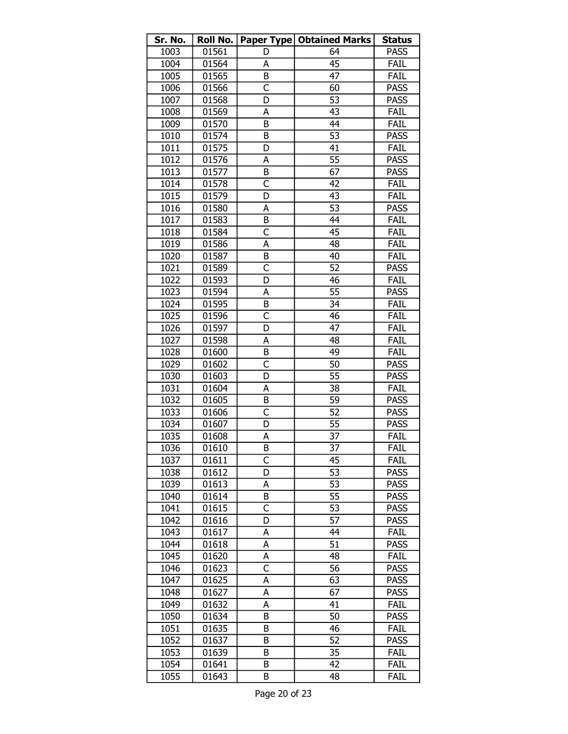| Sr. No. | Roll No. |                         | <b>Paper Type   Obtained Marks</b> | <b>Status</b> |
|---------|----------|-------------------------|------------------------------------|---------------|
| 1003    | 01561    | D                       | 64                                 | <b>PASS</b>   |
| 1004    | 01564    | A                       | 45                                 | FAIL          |
| 1005    | 01565    | B                       | 47                                 | <b>FAIL</b>   |
| 1006    | 01566    | $\overline{\mathsf{C}}$ | 60                                 | <b>PASS</b>   |
| 1007    | 01568    | D                       | 53                                 | <b>PASS</b>   |
| 1008    | 01569    | A                       | 43                                 | <b>FAIL</b>   |
| 1009    | 01570    | B                       | 44                                 | FAIL          |
| 1010    | 01574    | B                       | $\overline{53}$                    | <b>PASS</b>   |
| 1011    | 01575    | D                       | 41                                 | FAIL          |
| 1012    | 01576    | А                       | 55                                 | <b>PASS</b>   |
| 1013    | 01577    | B                       | 67                                 | <b>PASS</b>   |
| 1014    | 01578    | $\overline{\mathsf{c}}$ | 42                                 | <b>FAIL</b>   |
| 1015    | 01579    | D                       | 43                                 | FAIL          |
| 1016    | 01580    | A                       | 53                                 | <b>PASS</b>   |
| 1017    | 01583    | B                       | 44                                 | FAIL          |
| 1018    | 01584    | C                       | 45                                 | FAIL          |
| 1019    | 01586    | A                       | 48                                 | FAIL          |
| 1020    | 01587    | B                       | 40                                 | FAIL          |
| 1021    | 01589    | $\overline{\mathsf{C}}$ | $\overline{52}$                    | <b>PASS</b>   |
| 1022    | 01593    | D                       | 46                                 | FAIL          |
| 1023    | 01594    | А                       | 55                                 | <b>PASS</b>   |
| 1024    | 01595    | B                       | 34                                 | FAIL          |
| 1025    | 01596    | $\overline{\mathsf{c}}$ | 46                                 | FAIL          |
| 1026    | 01597    | D                       | 47                                 | FAIL          |
| 1027    | 01598    | A                       | 48                                 | <b>FAIL</b>   |
| 1028    | 01600    | B                       | 49                                 | FAIL          |
| 1029    | 01602    | C                       | 50                                 | <b>PASS</b>   |
| 1030    | 01603    | D                       | $\overline{55}$                    | <b>PASS</b>   |
| 1031    | 01604    | А                       | 38                                 | <b>FAIL</b>   |
| 1032    | 01605    | B                       | 59                                 | <b>PASS</b>   |
| 1033    | 01606    | C                       | 52                                 | <b>PASS</b>   |
| 1034    | 01607    | D                       | 55                                 | <b>PASS</b>   |
| 1035    | 01608    | A                       | $\overline{37}$                    | <b>FAIL</b>   |
| 1036    | 01610    | B                       | $\overline{37}$                    | FAIL          |
| 1037    | 01611    | C                       | 45                                 | FAIL          |
| 1038    | 01612    | D                       | 53                                 | <b>PASS</b>   |
| 1039    | 01613    | А                       | 53                                 | <b>PASS</b>   |
| 1040    | 01614    | B                       | 55                                 | <b>PASS</b>   |
| 1041    | 01615    | C                       | 53                                 | <b>PASS</b>   |
| 1042    | 01616    | D                       | 57                                 | <b>PASS</b>   |
| 1043    | 01617    | А                       | 44                                 | <b>FAIL</b>   |
| 1044    | 01618    | А                       | 51                                 | <b>PASS</b>   |
| 1045    | 01620    | А                       | 48                                 | FAIL          |
| 1046    | 01623    | $\overline{\mathsf{c}}$ | 56                                 | <b>PASS</b>   |
| 1047    | 01625    | A                       | 63                                 | <b>PASS</b>   |
| 1048    | 01627    | А                       | 67                                 | <b>PASS</b>   |
| 1049    | 01632    | A                       | 41                                 | <b>FAIL</b>   |
| 1050    | 01634    | B                       | 50                                 | <b>PASS</b>   |
| 1051    | 01635    | B                       | 46                                 | FAIL          |
| 1052    | 01637    | В                       | 52                                 | PASS          |
| 1053    | 01639    | B                       | 35                                 | FAIL          |
| 1054    | 01641    | B                       | 42                                 | FAIL          |
| 1055    | 01643    | B                       | 48                                 | FAIL          |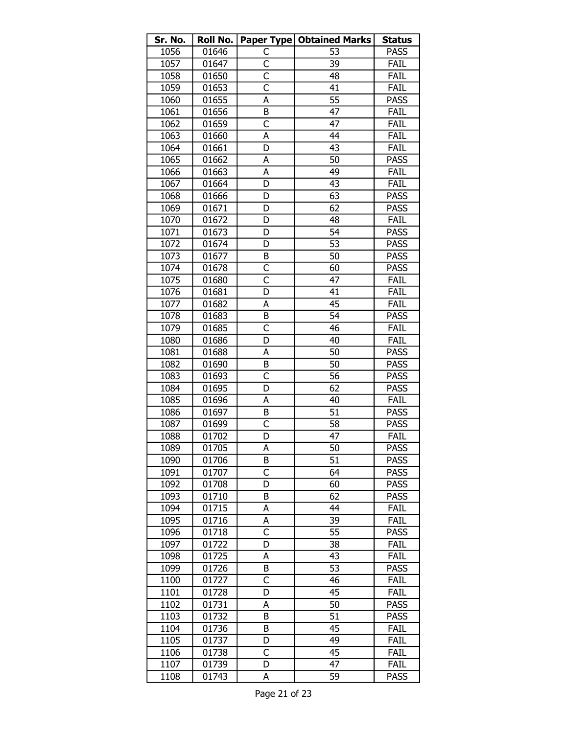| Sr. No. | Roll No. |                         | <b>Paper Type   Obtained Marks</b> | <b>Status</b> |
|---------|----------|-------------------------|------------------------------------|---------------|
| 1056    | 01646    | C                       | 53                                 | <b>PASS</b>   |
| 1057    | 01647    | C                       | 39                                 | FAIL          |
| 1058    | 01650    | $\overline{\mathsf{C}}$ | 48                                 | FAIL          |
| 1059    | 01653    | $\overline{C}$          | 41                                 | FAIL          |
| 1060    | 01655    | А                       | 55                                 | <b>PASS</b>   |
| 1061    | 01656    | B                       | 47                                 | FAIL          |
| 1062    | 01659    | $\overline{\mathsf{C}}$ | 47                                 | FAIL          |
| 1063    | 01660    | A                       | 44                                 | FAIL          |
| 1064    | 01661    | D                       | 43                                 | FAIL          |
| 1065    | 01662    | A                       | 50                                 | <b>PASS</b>   |
| 1066    | 01663    | A                       | 49                                 | FAIL          |
| 1067    | 01664    | D                       | 43                                 | FAIL          |
| 1068    | 01666    | D                       | 63                                 | <b>PASS</b>   |
| 1069    | 01671    | D                       | 62                                 | <b>PASS</b>   |
| 1070    | 01672    | D                       | 48                                 | <b>FAIL</b>   |
| 1071    | 01673    | D                       | 54                                 | <b>PASS</b>   |
| 1072    | 01674    | D                       | $\overline{53}$                    | <b>PASS</b>   |
| 1073    | 01677    | B                       | 50                                 | <b>PASS</b>   |
| 1074    | 01678    | C                       | 60                                 | <b>PASS</b>   |
| 1075    | 01680    | $\overline{\mathsf{C}}$ | 47                                 | FAIL          |
| 1076    | 01681    | D                       | 41                                 | FAIL          |
| 1077    | 01682    | A                       | 45                                 | FAIL          |
| 1078    | 01683    | B                       | 54                                 | <b>PASS</b>   |
| 1079    | 01685    | $\overline{\mathsf{C}}$ | 46                                 | FAIL          |
| 1080    | 01686    | D                       | 40                                 | FAIL          |
| 1081    | 01688    | А                       | 50                                 | <b>PASS</b>   |
| 1082    | 01690    | B                       | 50                                 | <b>PASS</b>   |
| 1083    | 01693    | C                       | $\overline{56}$                    | <b>PASS</b>   |
| 1084    | 01695    | D                       | 62                                 | <b>PASS</b>   |
| 1085    | 01696    | A                       | 40                                 | FAIL          |
| 1086    | 01697    | B                       | 51                                 | <b>PASS</b>   |
| 1087    | 01699    | C                       | 58                                 | <b>PASS</b>   |
| 1088    | 01702    | D                       | 47                                 | FAIL          |
| 1089    | 01705    | A                       | 50                                 | <b>PASS</b>   |
| 1090    | 01706    | B                       | 51                                 | <b>PASS</b>   |
| 1091    | 01707    | C                       | 64                                 | <b>PASS</b>   |
| 1092    | 01708    | D                       | 60                                 | <b>PASS</b>   |
| 1093    | 01710    | B                       | 62                                 | <b>PASS</b>   |
| 1094    | 01715    | A                       | 44                                 | FAIL          |
| 1095    | 01716    | А                       | 39                                 | FAIL          |
| 1096    | 01718    | C                       | 55                                 | <b>PASS</b>   |
| 1097    | 01722    | D                       | 38                                 | FAIL          |
| 1098    | 01725    | А                       | 43                                 | FAIL          |
| 1099    | 01726    | B                       | 53                                 | <b>PASS</b>   |
| 1100    | 01727    | C                       | 46                                 | FAIL          |
| 1101    | 01728    | D                       | 45                                 | FAIL          |
| 1102    | 01731    | A                       | 50                                 | <b>PASS</b>   |
| 1103    | 01732    | B                       | 51                                 | <b>PASS</b>   |
| 1104    | 01736    | B                       | 45                                 | FAIL          |
| 1105    | 01737    | D                       | 49                                 | FAIL          |
| 1106    | 01738    | C                       | 45                                 | FAIL          |
| 1107    | 01739    | D                       | 47                                 | FAIL          |
| 1108    | 01743    | A                       | 59                                 | <b>PASS</b>   |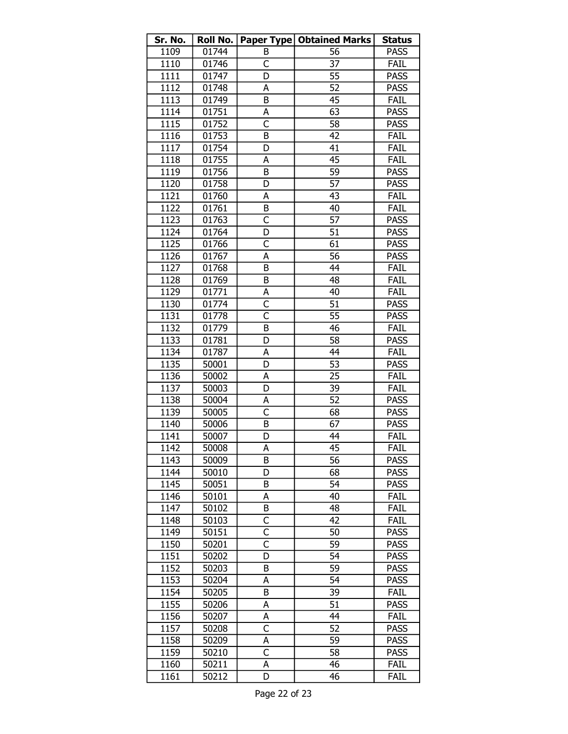| 01744<br>1109<br>56<br><b>PASS</b><br>В<br>37<br>01746<br>C<br>1110<br><b>FAIL</b><br>55<br>01747<br>D<br><b>PASS</b><br>1111<br>52<br>01748<br><b>PASS</b><br>1112<br>А<br>01749<br>B<br><b>FAIL</b><br>1113<br>45<br>01751<br>1114<br>63<br><b>PASS</b><br>А<br>$\overline{\mathsf{C}}$<br>1115<br>01752<br>58<br><b>PASS</b><br>01753<br>1116<br>B<br>42<br>FAIL<br>01754<br>1117<br>41<br>FAIL<br>D<br>01755<br>1118<br>45<br><b>FAIL</b><br>A<br>59<br>1119<br>01756<br>B<br><b>PASS</b><br>57<br>1120<br>01758<br>D<br><b>PASS</b><br>1121<br>01760<br>43<br><b>FAIL</b><br>А<br>FAIL<br>1122<br>01761<br>B<br>40<br>1123<br>C<br>57<br><b>PASS</b><br>01763<br>51<br>1124<br>01764<br><b>PASS</b><br>D<br>$\overline{\mathsf{C}}$<br>01766<br>61<br>1125<br><b>PASS</b><br>56<br>1126<br>01767<br>A<br><b>PASS</b><br>B<br>1127<br>01768<br>44<br>FAIL<br>01769<br>48<br>1128<br>B<br>FAIL<br>1129<br>01771<br>А<br><b>FAIL</b><br>40<br>C<br>51<br>1130<br>01774<br><b>PASS</b><br>$\overline{\mathsf{C}}$<br>55<br>1131<br>01778<br><b>PASS</b><br>1132<br>01779<br>B<br>46<br><b>FAIL</b><br>1133<br>58<br><b>PASS</b><br>01781<br>D<br>1134<br>01787<br>FAIL<br>44<br>А<br>53<br>1135<br><b>PASS</b><br>50001<br>D<br>25<br>FAIL<br>1136<br>50002<br>А<br>1137<br>FAIL<br>50003<br>D<br>39<br>52<br>1138<br><b>PASS</b><br>50004<br>А<br>$\overline{\mathsf{C}}$<br>1139<br>68<br><b>PASS</b><br>50005<br>1140<br>50006<br>B<br>67<br><b>PASS</b><br>44<br>1141<br>D<br>FAIL<br>50007<br>$\overline{1}142$<br>45<br>FAIL<br>50008<br>A<br>1143<br>56<br><b>PASS</b><br>50009<br>B<br>1144<br>50010<br>D<br>68<br><b>PASS</b><br>54<br>1145<br>50051<br>B<br><b>PASS</b><br>1146<br>50101<br>40<br>FAIL<br>А<br>1147<br>50102<br>B<br>48<br>FAIL<br>1148<br>C<br>42<br>FAIL<br>50103<br>C<br>1149<br>50151<br>50<br><b>PASS</b><br>$\overline{\mathsf{c}}$<br>1150<br>59<br><b>PASS</b><br>50201<br>1151<br>D<br><b>PASS</b><br>50202<br>54<br>1152<br>59<br><b>PASS</b><br>50203<br>В<br>1153<br>54<br>50204<br><b>PASS</b><br>А<br>1154<br>39<br><b>FAIL</b><br>50205<br>B<br>51<br>1155<br>50206<br><b>PASS</b><br>A<br>FAIL<br>1156<br>50207<br>44<br>А<br>$\overline{\mathsf{C}}$<br>52<br>1157<br><b>PASS</b><br>50208<br>1158<br>A<br>59<br><b>PASS</b><br>50209<br>1159<br>C<br>50210<br>58<br><b>PASS</b><br>1160<br>46<br>FAIL<br>50211<br>А | Sr. No. | Roll No. |   | Paper Type   Obtained Marks | <b>Status</b> |
|------------------------------------------------------------------------------------------------------------------------------------------------------------------------------------------------------------------------------------------------------------------------------------------------------------------------------------------------------------------------------------------------------------------------------------------------------------------------------------------------------------------------------------------------------------------------------------------------------------------------------------------------------------------------------------------------------------------------------------------------------------------------------------------------------------------------------------------------------------------------------------------------------------------------------------------------------------------------------------------------------------------------------------------------------------------------------------------------------------------------------------------------------------------------------------------------------------------------------------------------------------------------------------------------------------------------------------------------------------------------------------------------------------------------------------------------------------------------------------------------------------------------------------------------------------------------------------------------------------------------------------------------------------------------------------------------------------------------------------------------------------------------------------------------------------------------------------------------------------------------------------------------------------------------------------------------------------------------------------------------------------------------------------------------------------------------------------------------------------------------------------------------------------------------------------------------------------------------------------------------------------------------------------------------------------------------------------------------------------------|---------|----------|---|-----------------------------|---------------|
|                                                                                                                                                                                                                                                                                                                                                                                                                                                                                                                                                                                                                                                                                                                                                                                                                                                                                                                                                                                                                                                                                                                                                                                                                                                                                                                                                                                                                                                                                                                                                                                                                                                                                                                                                                                                                                                                                                                                                                                                                                                                                                                                                                                                                                                                                                                                                                  |         |          |   |                             |               |
|                                                                                                                                                                                                                                                                                                                                                                                                                                                                                                                                                                                                                                                                                                                                                                                                                                                                                                                                                                                                                                                                                                                                                                                                                                                                                                                                                                                                                                                                                                                                                                                                                                                                                                                                                                                                                                                                                                                                                                                                                                                                                                                                                                                                                                                                                                                                                                  |         |          |   |                             |               |
|                                                                                                                                                                                                                                                                                                                                                                                                                                                                                                                                                                                                                                                                                                                                                                                                                                                                                                                                                                                                                                                                                                                                                                                                                                                                                                                                                                                                                                                                                                                                                                                                                                                                                                                                                                                                                                                                                                                                                                                                                                                                                                                                                                                                                                                                                                                                                                  |         |          |   |                             |               |
|                                                                                                                                                                                                                                                                                                                                                                                                                                                                                                                                                                                                                                                                                                                                                                                                                                                                                                                                                                                                                                                                                                                                                                                                                                                                                                                                                                                                                                                                                                                                                                                                                                                                                                                                                                                                                                                                                                                                                                                                                                                                                                                                                                                                                                                                                                                                                                  |         |          |   |                             |               |
|                                                                                                                                                                                                                                                                                                                                                                                                                                                                                                                                                                                                                                                                                                                                                                                                                                                                                                                                                                                                                                                                                                                                                                                                                                                                                                                                                                                                                                                                                                                                                                                                                                                                                                                                                                                                                                                                                                                                                                                                                                                                                                                                                                                                                                                                                                                                                                  |         |          |   |                             |               |
|                                                                                                                                                                                                                                                                                                                                                                                                                                                                                                                                                                                                                                                                                                                                                                                                                                                                                                                                                                                                                                                                                                                                                                                                                                                                                                                                                                                                                                                                                                                                                                                                                                                                                                                                                                                                                                                                                                                                                                                                                                                                                                                                                                                                                                                                                                                                                                  |         |          |   |                             |               |
|                                                                                                                                                                                                                                                                                                                                                                                                                                                                                                                                                                                                                                                                                                                                                                                                                                                                                                                                                                                                                                                                                                                                                                                                                                                                                                                                                                                                                                                                                                                                                                                                                                                                                                                                                                                                                                                                                                                                                                                                                                                                                                                                                                                                                                                                                                                                                                  |         |          |   |                             |               |
|                                                                                                                                                                                                                                                                                                                                                                                                                                                                                                                                                                                                                                                                                                                                                                                                                                                                                                                                                                                                                                                                                                                                                                                                                                                                                                                                                                                                                                                                                                                                                                                                                                                                                                                                                                                                                                                                                                                                                                                                                                                                                                                                                                                                                                                                                                                                                                  |         |          |   |                             |               |
|                                                                                                                                                                                                                                                                                                                                                                                                                                                                                                                                                                                                                                                                                                                                                                                                                                                                                                                                                                                                                                                                                                                                                                                                                                                                                                                                                                                                                                                                                                                                                                                                                                                                                                                                                                                                                                                                                                                                                                                                                                                                                                                                                                                                                                                                                                                                                                  |         |          |   |                             |               |
|                                                                                                                                                                                                                                                                                                                                                                                                                                                                                                                                                                                                                                                                                                                                                                                                                                                                                                                                                                                                                                                                                                                                                                                                                                                                                                                                                                                                                                                                                                                                                                                                                                                                                                                                                                                                                                                                                                                                                                                                                                                                                                                                                                                                                                                                                                                                                                  |         |          |   |                             |               |
|                                                                                                                                                                                                                                                                                                                                                                                                                                                                                                                                                                                                                                                                                                                                                                                                                                                                                                                                                                                                                                                                                                                                                                                                                                                                                                                                                                                                                                                                                                                                                                                                                                                                                                                                                                                                                                                                                                                                                                                                                                                                                                                                                                                                                                                                                                                                                                  |         |          |   |                             |               |
|                                                                                                                                                                                                                                                                                                                                                                                                                                                                                                                                                                                                                                                                                                                                                                                                                                                                                                                                                                                                                                                                                                                                                                                                                                                                                                                                                                                                                                                                                                                                                                                                                                                                                                                                                                                                                                                                                                                                                                                                                                                                                                                                                                                                                                                                                                                                                                  |         |          |   |                             |               |
|                                                                                                                                                                                                                                                                                                                                                                                                                                                                                                                                                                                                                                                                                                                                                                                                                                                                                                                                                                                                                                                                                                                                                                                                                                                                                                                                                                                                                                                                                                                                                                                                                                                                                                                                                                                                                                                                                                                                                                                                                                                                                                                                                                                                                                                                                                                                                                  |         |          |   |                             |               |
|                                                                                                                                                                                                                                                                                                                                                                                                                                                                                                                                                                                                                                                                                                                                                                                                                                                                                                                                                                                                                                                                                                                                                                                                                                                                                                                                                                                                                                                                                                                                                                                                                                                                                                                                                                                                                                                                                                                                                                                                                                                                                                                                                                                                                                                                                                                                                                  |         |          |   |                             |               |
|                                                                                                                                                                                                                                                                                                                                                                                                                                                                                                                                                                                                                                                                                                                                                                                                                                                                                                                                                                                                                                                                                                                                                                                                                                                                                                                                                                                                                                                                                                                                                                                                                                                                                                                                                                                                                                                                                                                                                                                                                                                                                                                                                                                                                                                                                                                                                                  |         |          |   |                             |               |
|                                                                                                                                                                                                                                                                                                                                                                                                                                                                                                                                                                                                                                                                                                                                                                                                                                                                                                                                                                                                                                                                                                                                                                                                                                                                                                                                                                                                                                                                                                                                                                                                                                                                                                                                                                                                                                                                                                                                                                                                                                                                                                                                                                                                                                                                                                                                                                  |         |          |   |                             |               |
|                                                                                                                                                                                                                                                                                                                                                                                                                                                                                                                                                                                                                                                                                                                                                                                                                                                                                                                                                                                                                                                                                                                                                                                                                                                                                                                                                                                                                                                                                                                                                                                                                                                                                                                                                                                                                                                                                                                                                                                                                                                                                                                                                                                                                                                                                                                                                                  |         |          |   |                             |               |
|                                                                                                                                                                                                                                                                                                                                                                                                                                                                                                                                                                                                                                                                                                                                                                                                                                                                                                                                                                                                                                                                                                                                                                                                                                                                                                                                                                                                                                                                                                                                                                                                                                                                                                                                                                                                                                                                                                                                                                                                                                                                                                                                                                                                                                                                                                                                                                  |         |          |   |                             |               |
|                                                                                                                                                                                                                                                                                                                                                                                                                                                                                                                                                                                                                                                                                                                                                                                                                                                                                                                                                                                                                                                                                                                                                                                                                                                                                                                                                                                                                                                                                                                                                                                                                                                                                                                                                                                                                                                                                                                                                                                                                                                                                                                                                                                                                                                                                                                                                                  |         |          |   |                             |               |
|                                                                                                                                                                                                                                                                                                                                                                                                                                                                                                                                                                                                                                                                                                                                                                                                                                                                                                                                                                                                                                                                                                                                                                                                                                                                                                                                                                                                                                                                                                                                                                                                                                                                                                                                                                                                                                                                                                                                                                                                                                                                                                                                                                                                                                                                                                                                                                  |         |          |   |                             |               |
|                                                                                                                                                                                                                                                                                                                                                                                                                                                                                                                                                                                                                                                                                                                                                                                                                                                                                                                                                                                                                                                                                                                                                                                                                                                                                                                                                                                                                                                                                                                                                                                                                                                                                                                                                                                                                                                                                                                                                                                                                                                                                                                                                                                                                                                                                                                                                                  |         |          |   |                             |               |
|                                                                                                                                                                                                                                                                                                                                                                                                                                                                                                                                                                                                                                                                                                                                                                                                                                                                                                                                                                                                                                                                                                                                                                                                                                                                                                                                                                                                                                                                                                                                                                                                                                                                                                                                                                                                                                                                                                                                                                                                                                                                                                                                                                                                                                                                                                                                                                  |         |          |   |                             |               |
|                                                                                                                                                                                                                                                                                                                                                                                                                                                                                                                                                                                                                                                                                                                                                                                                                                                                                                                                                                                                                                                                                                                                                                                                                                                                                                                                                                                                                                                                                                                                                                                                                                                                                                                                                                                                                                                                                                                                                                                                                                                                                                                                                                                                                                                                                                                                                                  |         |          |   |                             |               |
|                                                                                                                                                                                                                                                                                                                                                                                                                                                                                                                                                                                                                                                                                                                                                                                                                                                                                                                                                                                                                                                                                                                                                                                                                                                                                                                                                                                                                                                                                                                                                                                                                                                                                                                                                                                                                                                                                                                                                                                                                                                                                                                                                                                                                                                                                                                                                                  |         |          |   |                             |               |
|                                                                                                                                                                                                                                                                                                                                                                                                                                                                                                                                                                                                                                                                                                                                                                                                                                                                                                                                                                                                                                                                                                                                                                                                                                                                                                                                                                                                                                                                                                                                                                                                                                                                                                                                                                                                                                                                                                                                                                                                                                                                                                                                                                                                                                                                                                                                                                  |         |          |   |                             |               |
|                                                                                                                                                                                                                                                                                                                                                                                                                                                                                                                                                                                                                                                                                                                                                                                                                                                                                                                                                                                                                                                                                                                                                                                                                                                                                                                                                                                                                                                                                                                                                                                                                                                                                                                                                                                                                                                                                                                                                                                                                                                                                                                                                                                                                                                                                                                                                                  |         |          |   |                             |               |
|                                                                                                                                                                                                                                                                                                                                                                                                                                                                                                                                                                                                                                                                                                                                                                                                                                                                                                                                                                                                                                                                                                                                                                                                                                                                                                                                                                                                                                                                                                                                                                                                                                                                                                                                                                                                                                                                                                                                                                                                                                                                                                                                                                                                                                                                                                                                                                  |         |          |   |                             |               |
|                                                                                                                                                                                                                                                                                                                                                                                                                                                                                                                                                                                                                                                                                                                                                                                                                                                                                                                                                                                                                                                                                                                                                                                                                                                                                                                                                                                                                                                                                                                                                                                                                                                                                                                                                                                                                                                                                                                                                                                                                                                                                                                                                                                                                                                                                                                                                                  |         |          |   |                             |               |
|                                                                                                                                                                                                                                                                                                                                                                                                                                                                                                                                                                                                                                                                                                                                                                                                                                                                                                                                                                                                                                                                                                                                                                                                                                                                                                                                                                                                                                                                                                                                                                                                                                                                                                                                                                                                                                                                                                                                                                                                                                                                                                                                                                                                                                                                                                                                                                  |         |          |   |                             |               |
|                                                                                                                                                                                                                                                                                                                                                                                                                                                                                                                                                                                                                                                                                                                                                                                                                                                                                                                                                                                                                                                                                                                                                                                                                                                                                                                                                                                                                                                                                                                                                                                                                                                                                                                                                                                                                                                                                                                                                                                                                                                                                                                                                                                                                                                                                                                                                                  |         |          |   |                             |               |
|                                                                                                                                                                                                                                                                                                                                                                                                                                                                                                                                                                                                                                                                                                                                                                                                                                                                                                                                                                                                                                                                                                                                                                                                                                                                                                                                                                                                                                                                                                                                                                                                                                                                                                                                                                                                                                                                                                                                                                                                                                                                                                                                                                                                                                                                                                                                                                  |         |          |   |                             |               |
|                                                                                                                                                                                                                                                                                                                                                                                                                                                                                                                                                                                                                                                                                                                                                                                                                                                                                                                                                                                                                                                                                                                                                                                                                                                                                                                                                                                                                                                                                                                                                                                                                                                                                                                                                                                                                                                                                                                                                                                                                                                                                                                                                                                                                                                                                                                                                                  |         |          |   |                             |               |
|                                                                                                                                                                                                                                                                                                                                                                                                                                                                                                                                                                                                                                                                                                                                                                                                                                                                                                                                                                                                                                                                                                                                                                                                                                                                                                                                                                                                                                                                                                                                                                                                                                                                                                                                                                                                                                                                                                                                                                                                                                                                                                                                                                                                                                                                                                                                                                  |         |          |   |                             |               |
|                                                                                                                                                                                                                                                                                                                                                                                                                                                                                                                                                                                                                                                                                                                                                                                                                                                                                                                                                                                                                                                                                                                                                                                                                                                                                                                                                                                                                                                                                                                                                                                                                                                                                                                                                                                                                                                                                                                                                                                                                                                                                                                                                                                                                                                                                                                                                                  |         |          |   |                             |               |
|                                                                                                                                                                                                                                                                                                                                                                                                                                                                                                                                                                                                                                                                                                                                                                                                                                                                                                                                                                                                                                                                                                                                                                                                                                                                                                                                                                                                                                                                                                                                                                                                                                                                                                                                                                                                                                                                                                                                                                                                                                                                                                                                                                                                                                                                                                                                                                  |         |          |   |                             |               |
|                                                                                                                                                                                                                                                                                                                                                                                                                                                                                                                                                                                                                                                                                                                                                                                                                                                                                                                                                                                                                                                                                                                                                                                                                                                                                                                                                                                                                                                                                                                                                                                                                                                                                                                                                                                                                                                                                                                                                                                                                                                                                                                                                                                                                                                                                                                                                                  |         |          |   |                             |               |
|                                                                                                                                                                                                                                                                                                                                                                                                                                                                                                                                                                                                                                                                                                                                                                                                                                                                                                                                                                                                                                                                                                                                                                                                                                                                                                                                                                                                                                                                                                                                                                                                                                                                                                                                                                                                                                                                                                                                                                                                                                                                                                                                                                                                                                                                                                                                                                  |         |          |   |                             |               |
|                                                                                                                                                                                                                                                                                                                                                                                                                                                                                                                                                                                                                                                                                                                                                                                                                                                                                                                                                                                                                                                                                                                                                                                                                                                                                                                                                                                                                                                                                                                                                                                                                                                                                                                                                                                                                                                                                                                                                                                                                                                                                                                                                                                                                                                                                                                                                                  |         |          |   |                             |               |
|                                                                                                                                                                                                                                                                                                                                                                                                                                                                                                                                                                                                                                                                                                                                                                                                                                                                                                                                                                                                                                                                                                                                                                                                                                                                                                                                                                                                                                                                                                                                                                                                                                                                                                                                                                                                                                                                                                                                                                                                                                                                                                                                                                                                                                                                                                                                                                  |         |          |   |                             |               |
|                                                                                                                                                                                                                                                                                                                                                                                                                                                                                                                                                                                                                                                                                                                                                                                                                                                                                                                                                                                                                                                                                                                                                                                                                                                                                                                                                                                                                                                                                                                                                                                                                                                                                                                                                                                                                                                                                                                                                                                                                                                                                                                                                                                                                                                                                                                                                                  |         |          |   |                             |               |
|                                                                                                                                                                                                                                                                                                                                                                                                                                                                                                                                                                                                                                                                                                                                                                                                                                                                                                                                                                                                                                                                                                                                                                                                                                                                                                                                                                                                                                                                                                                                                                                                                                                                                                                                                                                                                                                                                                                                                                                                                                                                                                                                                                                                                                                                                                                                                                  |         |          |   |                             |               |
|                                                                                                                                                                                                                                                                                                                                                                                                                                                                                                                                                                                                                                                                                                                                                                                                                                                                                                                                                                                                                                                                                                                                                                                                                                                                                                                                                                                                                                                                                                                                                                                                                                                                                                                                                                                                                                                                                                                                                                                                                                                                                                                                                                                                                                                                                                                                                                  |         |          |   |                             |               |
|                                                                                                                                                                                                                                                                                                                                                                                                                                                                                                                                                                                                                                                                                                                                                                                                                                                                                                                                                                                                                                                                                                                                                                                                                                                                                                                                                                                                                                                                                                                                                                                                                                                                                                                                                                                                                                                                                                                                                                                                                                                                                                                                                                                                                                                                                                                                                                  |         |          |   |                             |               |
|                                                                                                                                                                                                                                                                                                                                                                                                                                                                                                                                                                                                                                                                                                                                                                                                                                                                                                                                                                                                                                                                                                                                                                                                                                                                                                                                                                                                                                                                                                                                                                                                                                                                                                                                                                                                                                                                                                                                                                                                                                                                                                                                                                                                                                                                                                                                                                  |         |          |   |                             |               |
|                                                                                                                                                                                                                                                                                                                                                                                                                                                                                                                                                                                                                                                                                                                                                                                                                                                                                                                                                                                                                                                                                                                                                                                                                                                                                                                                                                                                                                                                                                                                                                                                                                                                                                                                                                                                                                                                                                                                                                                                                                                                                                                                                                                                                                                                                                                                                                  |         |          |   |                             |               |
|                                                                                                                                                                                                                                                                                                                                                                                                                                                                                                                                                                                                                                                                                                                                                                                                                                                                                                                                                                                                                                                                                                                                                                                                                                                                                                                                                                                                                                                                                                                                                                                                                                                                                                                                                                                                                                                                                                                                                                                                                                                                                                                                                                                                                                                                                                                                                                  |         |          |   |                             |               |
|                                                                                                                                                                                                                                                                                                                                                                                                                                                                                                                                                                                                                                                                                                                                                                                                                                                                                                                                                                                                                                                                                                                                                                                                                                                                                                                                                                                                                                                                                                                                                                                                                                                                                                                                                                                                                                                                                                                                                                                                                                                                                                                                                                                                                                                                                                                                                                  |         |          |   |                             |               |
|                                                                                                                                                                                                                                                                                                                                                                                                                                                                                                                                                                                                                                                                                                                                                                                                                                                                                                                                                                                                                                                                                                                                                                                                                                                                                                                                                                                                                                                                                                                                                                                                                                                                                                                                                                                                                                                                                                                                                                                                                                                                                                                                                                                                                                                                                                                                                                  |         |          |   |                             |               |
|                                                                                                                                                                                                                                                                                                                                                                                                                                                                                                                                                                                                                                                                                                                                                                                                                                                                                                                                                                                                                                                                                                                                                                                                                                                                                                                                                                                                                                                                                                                                                                                                                                                                                                                                                                                                                                                                                                                                                                                                                                                                                                                                                                                                                                                                                                                                                                  |         |          |   |                             |               |
|                                                                                                                                                                                                                                                                                                                                                                                                                                                                                                                                                                                                                                                                                                                                                                                                                                                                                                                                                                                                                                                                                                                                                                                                                                                                                                                                                                                                                                                                                                                                                                                                                                                                                                                                                                                                                                                                                                                                                                                                                                                                                                                                                                                                                                                                                                                                                                  |         |          |   |                             |               |
|                                                                                                                                                                                                                                                                                                                                                                                                                                                                                                                                                                                                                                                                                                                                                                                                                                                                                                                                                                                                                                                                                                                                                                                                                                                                                                                                                                                                                                                                                                                                                                                                                                                                                                                                                                                                                                                                                                                                                                                                                                                                                                                                                                                                                                                                                                                                                                  |         |          |   |                             |               |
|                                                                                                                                                                                                                                                                                                                                                                                                                                                                                                                                                                                                                                                                                                                                                                                                                                                                                                                                                                                                                                                                                                                                                                                                                                                                                                                                                                                                                                                                                                                                                                                                                                                                                                                                                                                                                                                                                                                                                                                                                                                                                                                                                                                                                                                                                                                                                                  |         |          |   |                             |               |
|                                                                                                                                                                                                                                                                                                                                                                                                                                                                                                                                                                                                                                                                                                                                                                                                                                                                                                                                                                                                                                                                                                                                                                                                                                                                                                                                                                                                                                                                                                                                                                                                                                                                                                                                                                                                                                                                                                                                                                                                                                                                                                                                                                                                                                                                                                                                                                  | 1161    | 50212    | D | 46                          | FAIL          |